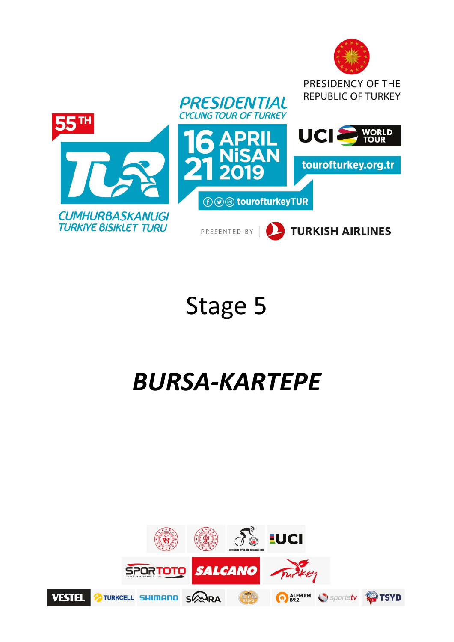

# Stage 5

# *BURSA‐KARTEPE*

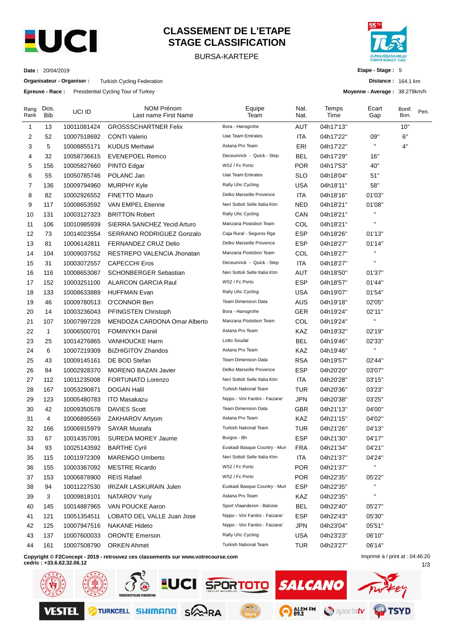

### **CLASSEMENT DE L'ETAPE STAGE CLASSIFICATION**

#### BURSA-KARTEPE



**Etape - Stage :** 5

**Distance :** 164.1 km

1/3

**Moyenne - Average :** 38.279km/h

| Date : | 20/04/2019 |
|--------|------------|
|--------|------------|

**Organisateur - Organiser :** Turkish Cycling Federation

**Epreuve - Race :** Presidential Cycling Tour of Turkey

| Rang<br>Rank | Dos.<br><b>Bib</b> | UCI ID      | <b>NOM Prénom</b><br>Last name First Name                                        | Equipe<br>Team                  | Nat.<br>Nat. | Temps<br>Time | Ecart<br>Gap                    | Bonif.<br>Bon. | Pen. |
|--------------|--------------------|-------------|----------------------------------------------------------------------------------|---------------------------------|--------------|---------------|---------------------------------|----------------|------|
| 1            | 13                 | 10011081424 | <b>GROSSSCHARTNER Felix</b>                                                      | Bora - Hansgrohe                | <b>AUT</b>   | 04h17'13"     |                                 | 10"            |      |
| 2            | 52                 | 10007518692 | <b>CONTI Valerio</b>                                                             | Uae Team Emirates               | ITA          | 04h17'22"     | 09"                             | 6"             |      |
| 3            | 5                  | 10008855171 | <b>KUDUS Merhawi</b>                                                             | Astana Pro Team                 | ERI          | 04h17'22"     | $\mathbf{H}$                    | 4"             |      |
| 4            | 32                 | 10058736615 | <b>EVENEPOEL Remco</b>                                                           | Deceuninck - Quick - Step       | <b>BEL</b>   | 04h17'29"     | 16"                             |                |      |
| 5            | 156                | 10005827660 | PINTO Edgar                                                                      | W52 / Fc Porto                  | <b>POR</b>   | 04h17'53"     | 40"                             |                |      |
| 6            | 55                 | 10050785746 | POLANC Jan                                                                       | Uae Team Emirates               | <b>SLO</b>   | 04h18'04"     | 51"                             |                |      |
| 7            | 136                | 10009794960 | <b>MURPHY Kyle</b>                                                               | Rally Uhc Cycling               | <b>USA</b>   | 04h18'11"     | 58"                             |                |      |
| 8            | 82                 | 10002926552 | FINETTO Mauro                                                                    | Delko Marseille Provence        | ITA          | 04h18'16"     | 01'03"                          |                |      |
| 9            | 117                | 10008653592 | VAN EMPEL Etienne                                                                | Neri Sottoli Selle Italia Ktm   | <b>NED</b>   | 04h18'21"     | 01'08"                          |                |      |
| 10           | 131                | 10003127323 | <b>BRITTON Robert</b>                                                            | Rally Uhc Cycling               | CAN          | 04h18'21"     |                                 |                |      |
| 11           | 106                | 10010985939 | SIERRA SANCHEZ Yecid Arturo                                                      | Manzana Postobon Team           | COL          | 04h18'21"     | $\blacksquare$                  |                |      |
| 12           | 73                 | 10014023554 | SERRANO RODRIGUEZ Gonzalo                                                        | Caja Rural - Seguros Rga        | <b>ESP</b>   | 04h18'26"     | 01'13"                          |                |      |
| 13           | 81                 | 10006142811 | FERNANDEZ CRUZ Delio                                                             | Delko Marseille Provence        | <b>ESP</b>   | 04h18'27"     | 01'14"                          |                |      |
| 14           | 104                | 10009037552 | RESTREPO VALENCIA Jhonatan                                                       | Manzana Postobon Team           | COL          | 04h18'27"     | $\mathbf{H}$                    |                |      |
| 15           | 31                 | 10003072557 | <b>CAPECCHI Eros</b>                                                             | Deceuninck - Quick - Step       | ITA          | 04h18'27"     | $\mathbf{H}$                    |                |      |
| 16           | 116                | 10008653087 | <b>SCHONBERGER Sebastian</b>                                                     | Neri Sottoli Selle Italia Ktm   | AUT          | 04h18'50"     | 01'37"                          |                |      |
| 17           | 152                | 10003251100 | <b>ALARCON GARCIA Raul</b>                                                       | W52 / Fc Porto                  | <b>ESP</b>   | 04h18'57"     | 01'44"                          |                |      |
| 18           | 133                | 10008633889 | <b>HUFFMAN Evan</b>                                                              | Rally Uhc Cycling               | <b>USA</b>   | 04h19'07"     | 01'54"                          |                |      |
| 19           | 46                 | 10009780513 | O'CONNOR Ben                                                                     | <b>Team Dimension Data</b>      | AUS          | 04h19'18"     | 02'05"                          |                |      |
| 20           | 14                 | 10003236043 | PFINGSTEN Christoph                                                              | Bora - Hansgrohe                | <b>GER</b>   | 04h19'24"     | 02'11"                          |                |      |
| 21           | 107                | 10007997228 | MENDOZA CARDONA Omar Alberto                                                     | Manzana Postobon Team           | COL          | 04h19'24"     | $\mathbf{H}$                    |                |      |
| 22           | $\mathbf{1}$       | 10006500701 | <b>FOMINYKH Daniil</b>                                                           | Astana Pro Team                 | KAZ          | 04h19'32"     | 02'19"                          |                |      |
| 23           | 25                 | 10014276865 | <b>VANHOUCKE Harm</b>                                                            | Lotto Soudal                    | <b>BEL</b>   | 04h19'46"     | 02'33"                          |                |      |
| 24           | 6                  | 10007219309 | <b>BIZHIGITOV Zhandos</b>                                                        | Astana Pro Team                 | KAZ          | 04h19'46"     | H.                              |                |      |
| 25           | 43                 | 10009145161 | DE BOD Stefan                                                                    | Team Dimension Data             | <b>RSA</b>   | 04h19'57"     | 02'44"                          |                |      |
| 26           | 84                 | 10002928370 | <b>MORENO BAZAN Javier</b>                                                       | Delko Marseille Provence        | <b>ESP</b>   | 04h20'20"     | 03'07"                          |                |      |
| 27           | 112                | 10011235008 | FORTUNATO Lorenzo                                                                | Neri Sottoli Selle Italia Ktm   | ITA          | 04h20'28"     | 03'15"                          |                |      |
| 28           | 167                | 10053290871 | <b>DOGAN Halil</b>                                                               | Turkish National Team           | <b>TUR</b>   | 04h20'36"     | 03'23"                          |                |      |
| 29           | 123                | 10005480783 | <b>ITO Masakazu</b>                                                              | Nippo - Vini Fantini - Faizane` | JPN          | 04h20'38"     | 03'25"                          |                |      |
| 30           | 42                 | 10009350578 | <b>DAVIES Scott</b>                                                              | Team Dimension Data             | <b>GBR</b>   | 04h21'13"     | 04'00"                          |                |      |
| 31           | 4                  | 10006895569 | ZAKHAROV Artyom                                                                  | Astana Pro Team                 | KAZ          | 04h21'15"     | 04'02"                          |                |      |
| 32           | 166                | 10006915979 | <b>SAYAR Mustafa</b>                                                             | <b>Turkish National Team</b>    | <b>TUR</b>   | 04h21'26"     | 04'13"                          |                |      |
| 33           | 67                 | 10014357091 | <b>SUREDA MOREY Jaume</b>                                                        | Burgos - Bh                     | <b>ESP</b>   | 04h21'30"     | 04'17"                          |                |      |
| 34           | 93                 | 10025143592 | <b>BARTHE Cyril</b>                                                              | Euskadi Basque Country - Muri   | <b>FRA</b>   | 04h21'34"     | 04'21"                          |                |      |
| 35           | 115                | 10011972309 | <b>MARENGO Umberto</b>                                                           | Neri Sottoli Selle Italia Ktm   | ITA          | 04h21'37"     | 04'24"                          |                |      |
| 36           | 155                | 10003367092 | <b>MESTRE Ricardo</b>                                                            | W52 / Fc Porto                  | <b>POR</b>   | 04h21'37"     | Ħ                               |                |      |
| 37           | 153                | 10006878900 | <b>REIS Rafael</b>                                                               | W52 / Fc Porto                  | <b>POR</b>   | 04h22'35"     | 05'22"                          |                |      |
| 38           | 94                 | 10011227530 | IRIZAR LASKURAIN Julen                                                           | Euskadi Basque Country - Muri   | <b>ESP</b>   | 04h22'35"     | $\mathbf{H}$                    |                |      |
| 39           | 3                  | 10009818101 | NATAROV Yuriy                                                                    | Astana Pro Team                 | KAZ          | 04h22'35"     | $\mathbf{H}$                    |                |      |
| 40           | 145                | 10014887965 | VAN POUCKE Aaron                                                                 | Sport Vlaanderen - Baloise      | <b>BEL</b>   | 04h22'40"     | 05'27"                          |                |      |
| 41           | 121                | 10051354511 | LOBATO DEL VALLE Juan Jose                                                       | Nippo - Vini Fantini - Faizane` | <b>ESP</b>   | 04h22'43"     | 05'30"                          |                |      |
| 42           | 125                | 10007947516 | <b>NAKANE Hideto</b>                                                             | Nippo - Vini Fantini - Faizane` | <b>JPN</b>   | 04h23'04"     | 05'51"                          |                |      |
| 43           | 137                | 10007600033 | <b>ORONTE Emerson</b>                                                            | Rally Uhc Cycling               | <b>USA</b>   | 04h23'23"     | 06'10"                          |                |      |
| 44           | 161                | 10007508790 | <b>ORKEN Ahmet</b>                                                               | Turkish National Team           | <b>TUR</b>   | 04h23'27"     | 06'14"                          |                |      |
|              |                    |             | Copyright © F2Concept - 2019 - retrouvez ces classements sur www.votrecourse.com |                                 |              |               | Imprimé à / print at : 04:46:20 |                |      |

**Copyright © F2Concept - 2019 - retrouvez ces classements sur www.votrecourse.com**



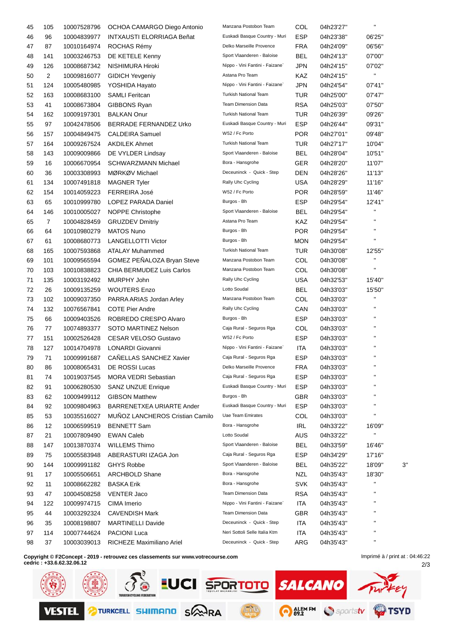| 45 | 105            | 10007528796                | OCHOA CAMARGO Diego Antonio            | Manzana Postobon Team                   | COL        | 04h23'27"              |                        |    |
|----|----------------|----------------------------|----------------------------------------|-----------------------------------------|------------|------------------------|------------------------|----|
| 46 | 96             | 10004839977                | INTXAUSTI ELORRIAGA Beñat              | Euskadi Basque Country - Muri           | <b>ESP</b> | 04h23'38"              | 06'25"                 |    |
| 47 | 87             | 10010164974                | ROCHAS Rémy                            | Delko Marseille Provence                | <b>FRA</b> | 04h24'09"              | 06'56"                 |    |
| 48 | 141            | 10003246753                | DE KETELE Kenny                        | Sport Vlaanderen - Baloise              | <b>BEL</b> | 04h24'13"              | 07'00"                 |    |
| 49 | 126            | 10008687342                | NISHIMURA Hiroki                       | Nippo - Vini Fantini - Faizane`         | JPN        | 04h24'15"              | 07'02"                 |    |
| 50 | $\overline{c}$ | 10009816077                | <b>GIDICH Yevgeniy</b>                 | Astana Pro Team                         | KAZ        | 04h24'15"              | $\mathbf{H}$           |    |
| 51 | 124            | 10005480985                | YOSHIDA Hayato                         | Nippo - Vini Fantini - Faizane`         | JPN        | 04h24'54"              | 07'41"                 |    |
| 52 | 163            | 10008683100                | <b>SAMLI Feritcan</b>                  | <b>Turkish National Team</b>            | TUR        | 04h25'00"              | 07'47"                 |    |
| 53 | 41             | 10008673804                | <b>GIBBONS Ryan</b>                    | <b>Team Dimension Data</b>              | <b>RSA</b> | 04h25'03"              | 07'50"                 |    |
| 54 | 162            | 10009197301                | <b>BALKAN Onur</b>                     | <b>Turkish National Team</b>            | TUR        | 04h26'39"              | 09'26"                 |    |
| 55 | 97             | 10042478506                | <b>BERRADE FERNANDEZ Urko</b>          | Euskadi Basque Country - Muri           | <b>ESP</b> | 04h26'44"              | 09'31"                 |    |
| 56 | 157            | 10004849475                | <b>CALDEIRA Samuel</b>                 | W52 / Fc Porto                          | <b>POR</b> | 04h27'01"              | 09'48"                 |    |
| 57 | 164            | 10009267524                | <b>AKDILEK Ahmet</b>                   | <b>Turkish National Team</b>            | TUR        | 04h27'17"              | 10'04"                 |    |
| 58 | 143            | 10009009866                | DE VYLDER Lindsay                      | Sport Vlaanderen - Baloise              | <b>BEL</b> | 04h28'04"              | 10'51"                 |    |
| 59 | 16             | 10006670954                | SCHWARZMANN Michael                    | Bora - Hansgrohe                        | GER        | 04h28'20"              | 11'07"                 |    |
| 60 | 36             | 10003308993                | MØRKØV Michael                         | Deceuninck - Quick - Step               | DEN        | 04h28'26"              | 11'13"                 |    |
| 61 | 134            | 10007491818                | <b>MAGNER Tyler</b>                    | Rally Uhc Cycling                       | USA        | 04h28'29"              | 11'16"                 |    |
| 62 | 154            | 10014059223                | <b>FERREIRA José</b>                   | W52 / Fc Porto                          | <b>POR</b> | 04h28'59"              | 11'46"                 |    |
| 63 | 65             | 10010999780                | LOPEZ PARADA Daniel                    | Burgos - Bh                             | <b>ESP</b> | 04h29'54"              | 12'41"                 |    |
| 64 | 146            | 10010005027                | NOPPE Christophe                       | Sport Vlaanderen - Baloise              | BEL        | 04h29'54"              | $\mathbf{H}$           |    |
| 65 | $\overline{7}$ | 10004828459                | <b>GRUZDEV Dmitriy</b>                 | Astana Pro Team                         | KAZ        | 04h29'54"              | $\mathbf{H}$           |    |
| 66 | 64             | 10010980279                | <b>MATOS Nuno</b>                      | Burgos - Bh                             | <b>POR</b> | 04h29'54"              | $\mathbf{H}$           |    |
| 67 | 61             | 10008680773                | <b>LANGELLOTTI Victor</b>              | Burgos - Bh                             | <b>MON</b> | 04h29'54"              | $\mathbf{H}$           |    |
| 68 | 165            | 10007593868                | <b>ATALAY Muhammed</b>                 | <b>Turkish National Team</b>            | TUR        | 04h30'08"              | 12'55"                 |    |
| 69 | 101            |                            | GOMEZ PEÑALOZA Bryan Steve             | Manzana Postobon Team                   | COL        |                        | п                      |    |
| 70 | 103            | 10009565594<br>10010838823 | CHIA BERMUDEZ Luis Carlos              | Manzana Postobon Team                   | COL        | 04h30'08"<br>04h30'08" | $\mathbf{H}$           |    |
|    |                |                            | MURPHY John                            | Rally Uhc Cycling                       | USA        |                        |                        |    |
| 71 | 135            | 10003192492                |                                        | Lotto Soudal                            |            | 04h32'53"              | 15'40"                 |    |
| 72 | 26             | 10009135259                | <b>WOUTERS Enzo</b>                    | Manzana Postobon Team                   | BEL        | 04h33'03"              | 15'50"<br>$\mathbf{H}$ |    |
| 73 | 102            | 10009037350                | PARRA ARIAS Jordan Arley               | Rally Uhc Cycling                       | COL        | 04h33'03"              | $\mathbf{H}$           |    |
| 74 | 132            | 10076567841                | <b>COTE Pier Andre</b>                 |                                         | CAN        | 04h33'03"              | $\blacksquare$         |    |
| 75 | 66             | 10009403526                | ROBREDO CRESPO Alvaro                  | Burgos - Bh<br>Caja Rural - Seguros Rga | <b>ESP</b> | 04h33'03"              | $\blacksquare$         |    |
| 76 | 77             | 10074893377                | SOTO MARTINEZ Nelson                   |                                         | COL        | 04h33'03"              | н                      |    |
| 77 | 151            | 10002526428                | <b>CESAR VELOSO Gustavo</b>            | W52 / Fc Porto                          | <b>ESP</b> | 04h33'03"              |                        |    |
| 78 | 127            | 10014704978                | <b>LONARDI Giovanni</b>                | Nippo - Vini Fantini - Faizane`         | ITA        | 04h33'03"              | $\pmb{\mathsf{H}}$     |    |
| 79 | 71             | 10009991687                | CAÑELLAS SANCHEZ Xavier                | Caja Rural - Seguros Rga                | <b>ESP</b> | 04h33'03"              | п                      |    |
| 80 | 86             | 10008065431                | DE ROSSI Lucas                         | Delko Marseille Provence                | <b>FRA</b> | 04h33'03"              | $\pmb{\mathsf{H}}$     |    |
| 81 | 74             | 10019037545                | <b>MORA VEDRI Sebastian</b>            | Caja Rural - Seguros Rga                | <b>ESP</b> | 04h33'03"              |                        |    |
| 82 | 91             | 10006280530                | <b>SANZ UNZUE Enrique</b>              | Euskadi Basque Country - Muri           | <b>ESP</b> | 04h33'03"              | н                      |    |
| 83 | 62             | 10009499112                | <b>GIBSON Matthew</b>                  | Burgos - Bh                             | <b>GBR</b> | 04h33'03"              | Н<br>н                 |    |
| 84 | 92             | 10009804963                | <b>BARRENETXEA URIARTE Ander</b>       | Euskadi Basque Country - Muri           | <b>ESP</b> | 04h33'03"              |                        |    |
| 85 | 53             | 10035516027                | <b>MUNOZ LANCHEROS Cristian Camilo</b> | Uae Team Emirates                       | COL        | 04h33'03"              | Н                      |    |
| 86 | 12             | 10006599519                | <b>BENNETT Sam</b>                     | Bora - Hansgrohe                        | <b>IRL</b> | 04h33'22"              | 16'09"                 |    |
| 87 | 21             | 10007809490                | <b>EWAN Caleb</b>                      | Lotto Soudal                            | AUS        | 04h33'22"              | н                      |    |
| 88 | 147            | 10013870374                | <b>WILLEMS Thimo</b>                   | Sport Vlaanderen - Baloise              | <b>BEL</b> | 04h33'59"              | 16'46"                 |    |
| 89 | 75             | 10005583948                | ABERASTURI IZAGA Jon                   | Caja Rural - Seguros Rga                | ESP        | 04h34'29"              | 17'16"                 |    |
| 90 | 144            | 10009991182                | <b>GHYS Robbe</b>                      | Sport Vlaanderen - Baloise              | <b>BEL</b> | 04h35'22"              | 18'09"                 | 3' |
| 91 | 17             | 10005506651                | <b>ARCHBOLD Shane</b>                  | Bora - Hansgrohe                        | <b>NZL</b> | 04h35'43"              | 18'30"                 |    |
| 92 | 11             | 10008662282                | <b>BASKA Erik</b>                      | Bora - Hansgrohe                        | <b>SVK</b> | 04h35'43"              | н                      |    |
| 93 | 47             | 10004508258                | <b>VENTER Jaco</b>                     | <b>Team Dimension Data</b>              | <b>RSA</b> | 04h35'43"              | Н                      |    |
| 94 | 122            | 10009974715                | CIMA Imerio                            | Nippo - Vini Fantini - Faizane`         | <b>ITA</b> | 04h35'43"              |                        |    |
| 95 | 44             | 10003292324                | <b>CAVENDISH Mark</b>                  | <b>Team Dimension Data</b>              | GBR        | 04h35'43"              | п                      |    |
| 96 | 35             | 10008198807                | <b>MARTINELLI Davide</b>               | Deceuninck - Quick - Step               | ITA        | 04h35'43"              |                        |    |
| 97 | 114            | 10007744624                | <b>PACIONI Luca</b>                    | Neri Sottoli Selle Italia Ktm           | ITA        | 04h35'43"              | $\blacksquare$         |    |
| 98 | 37             | 10003039013                | RICHEZE Maximiliano Ariel              | Deceuninck - Quick - Step               | ARG        | 04h35'43"              | Н                      |    |
|    |                |                            |                                        |                                         |            |                        |                        |    |

**Copyright © F2Concept - 2019 - retrouvez ces classements sur www.votrecourse.com cedric : +33.6.62.32.06.12**

 $\frac{1}{2}$  $\delta$ LUCI SPORTOTO SALCANO ey **P**TSYD **TURKCELL SHIMAND SANRA** ALEMEM Sportstv **VESTEL** 

Imprimé à / print at : 04:46:22

2/3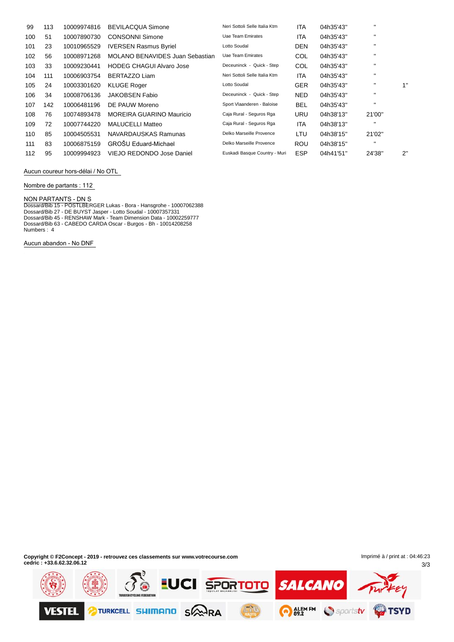| 99  | 113 | 10009974816 | <b>BEVILACQUA Simone</b>        | Neri Sottoli Selle Italia Ktm | ITA        | 04h35'43" | $\mathbf{H}$ |    |
|-----|-----|-------------|---------------------------------|-------------------------------|------------|-----------|--------------|----|
| 100 | 51  | 10007890730 | <b>CONSONNI Simone</b>          | Uae Team Emirates             | <b>ITA</b> | 04h35'43" | $\mathbf{H}$ |    |
| 101 | 23  | 10010965529 | <b>IVERSEN Rasmus Byriel</b>    | Lotto Soudal                  | <b>DEN</b> | 04h35'43" | $\mathbf{H}$ |    |
| 102 | 56  | 10008971268 | MOLANO BENAVIDES Juan Sebastian | Uae Team Emirates             | COL        | 04h35'43" | $\mathbf{H}$ |    |
| 103 | 33  | 10009230441 | <b>HODEG CHAGUI Alvaro Jose</b> | Deceuninck - Quick - Step     | COL        | 04h35'43" | $\mathbf{H}$ |    |
| 104 | 111 | 10006903754 | BERTAZZO Liam                   | Neri Sottoli Selle Italia Ktm | ITA        | 04h35'43" | $\mathbf{H}$ |    |
| 105 | 24  | 10003301620 | <b>KLUGE Roger</b>              | Lotto Soudal                  | <b>GER</b> | 04h35'43" |              | 1" |
| 106 | 34  | 10008706136 | <b>JAKOBSEN Fabio</b>           | Deceuninck - Quick - Step     | <b>NED</b> | 04h35'43" | $\mathbf{H}$ |    |
| 107 | 142 | 10006481196 | DE PAUW Moreno                  | Sport Vlaanderen - Baloise    | <b>BEL</b> | 04h35'43" | $\mathbf{H}$ |    |
| 108 | 76  | 10074893478 | <b>MOREIRA GUARINO Mauricio</b> | Caja Rural - Seguros Rga      | <b>URU</b> | 04h38'13" | 21'00"       |    |
| 109 | 72  | 10007744220 | <b>MALUCELLI Matteo</b>         | Caja Rural - Seguros Rga      | <b>ITA</b> | 04h38'13" | $\mathbf{H}$ |    |
| 110 | 85  | 10004505531 | NAVARDAUSKAS Ramunas            | Delko Marseille Provence      | LTU        | 04h38'15" | 21'02"       |    |
| 111 | 83  | 10006875159 | <b>GROŠU Eduard-Michael</b>     | Delko Marseille Provence      | <b>ROU</b> | 04h38'15" | $\mathbf{H}$ |    |
| 112 | 95  | 10009994923 | VIEJO REDONDO Jose Daniel       | Euskadi Basque Country - Muri | <b>ESP</b> | 04h41'51" | 24'38"       | 2" |

**Aucun coureur hors-dÈlai / No OTL**

**Nombre de partants : 112**

**NON PARTANTS - DN** S

Dossard/Bib 15 - PÖSTLBERGER Lukas - Bora - Hansgrohe - 10007062388 Dossard/Bib 27 - DE BUYST Jasper - Lotto Soudal - 10007357331 Dossard/Bib 45 - RENSHAW Mark - Team Dimension Data - 10002259777 Dossard/Bib 63 - CABEDO CARDA Oscar - Burgos - Bh - 10014208258 Numbers : 4

**Aucun abandon - No DNF**

**Copyright © F2Concept - 2019 - retrouvez ces classements sur www.votrecourse.com cedric : +33.6.62.32.06.12**

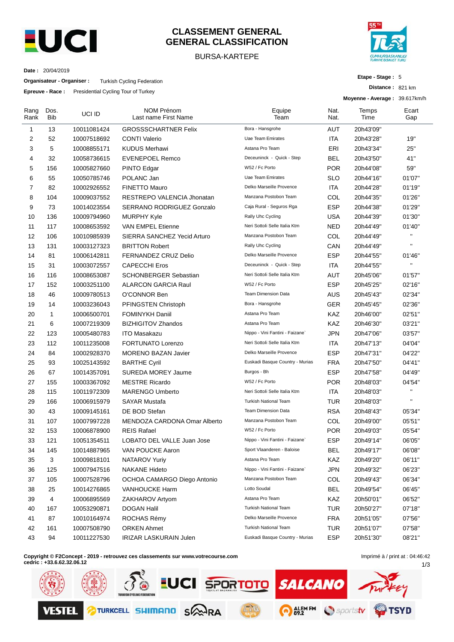

#### **CLASSEMENT GENERAL GENERAL CLASSIFICATION**

#### BURSA-KARTEPE



**Etape - Stage :** 5

**Distance :** 821 km

**Date :** 20/04/2019

**Organisateur - Organiser :** Turkish Cycling Federation

**Epreuve - Race :** Presidential Cycling Tour of Turkey

|              |              | <b>Epieuve - Race.</b> Fiesidenial Cycling Tour of Turkey |                                    | Moyenne - Average: 39.617km/h   |              |               |              |  |  |
|--------------|--------------|-----------------------------------------------------------|------------------------------------|---------------------------------|--------------|---------------|--------------|--|--|
| Rang<br>Rank | Dos.<br>Bib  | UCI ID                                                    | NOM Prénom<br>Last name First Name | Equipe<br>Team                  | Nat.<br>Nat. | Temps<br>Time | Ecart<br>Gap |  |  |
| 1            | 13           | 10011081424                                               | <b>GROSSSCHARTNER Felix</b>        | Bora - Hansgrohe                | <b>AUT</b>   | 20h43'09"     |              |  |  |
| 2            | 52           | 10007518692                                               | <b>CONTI Valerio</b>               | Uae Team Emirates               | <b>ITA</b>   | 20h43'28"     | 19"          |  |  |
| 3            | 5            | 10008855171                                               | <b>KUDUS Merhawi</b>               | Astana Pro Team                 | ERI          | 20h43'34"     | 25"          |  |  |
| 4            | 32           | 10058736615                                               | <b>EVENEPOEL Remco</b>             | Deceuninck - Quick - Step       | <b>BEL</b>   | 20h43'50"     | 41"          |  |  |
| 5            | 156          | 10005827660                                               | PINTO Edgar                        | W52 / Fc Porto                  | <b>POR</b>   | 20h44'08"     | 59"          |  |  |
| 6            | 55           | 10050785746                                               | POLANC Jan                         | Uae Team Emirates               | <b>SLO</b>   | 20h44'16"     | 01'07"       |  |  |
| 7            | 82           | 10002926552                                               | <b>FINETTO Mauro</b>               | Delko Marseille Provence        | ITA          | 20h44'28"     | 01'19"       |  |  |
| 8            | 104          | 10009037552                                               | RESTREPO VALENCIA Jhonatan         | Manzana Postobon Team           | COL          | 20h44'35"     | 01'26"       |  |  |
| 9            | 73           | 10014023554                                               | SERRANO RODRIGUEZ Gonzalo          | Caja Rural - Seguros Rga        | <b>ESP</b>   | 20h44'38"     | 01'29"       |  |  |
| 10           | 136          | 10009794960                                               | <b>MURPHY Kyle</b>                 | Rally Uhc Cycling               | <b>USA</b>   | 20h44'39"     | 01'30"       |  |  |
| 11           | 117          | 10008653592                                               | VAN EMPEL Etienne                  | Neri Sottoli Selle Italia Ktm   | <b>NED</b>   | 20h44'49"     | 01'40"       |  |  |
| 12           | 106          | 10010985939                                               | SIERRA SANCHEZ Yecid Arturo        | Manzana Postobon Team           | COL          | 20h44'49"     |              |  |  |
| 13           | 131          | 10003127323                                               | <b>BRITTON Robert</b>              | Rally Uhc Cycling               | CAN          | 20h44'49"     | H,           |  |  |
| 14           | 81           | 10006142811                                               | FERNANDEZ CRUZ Delio               | Delko Marseille Provence        | <b>ESP</b>   | 20h44'55"     | 01'46"       |  |  |
| 15           | 31           | 10003072557                                               | <b>CAPECCHI Eros</b>               | Deceuninck - Quick - Step       | ITA          | 20h44'55''    | $\mathbf{H}$ |  |  |
| 16           | 116          | 10008653087                                               | <b>SCHONBERGER Sebastian</b>       | Neri Sottoli Selle Italia Ktm   | AUT          | 20h45'06"     | 01'57"       |  |  |
| 17           | 152          | 10003251100                                               | <b>ALARCON GARCIA Raul</b>         | W52 / Fc Porto                  | <b>ESP</b>   | 20h45'25"     | 02'16"       |  |  |
| 18           | 46           | 10009780513                                               | O'CONNOR Ben                       | <b>Team Dimension Data</b>      | <b>AUS</b>   | 20h45'43"     | 02'34"       |  |  |
| 19           | 14           | 10003236043                                               | PFINGSTEN Christoph                | Bora - Hansgrohe                | <b>GER</b>   | 20h45'45"     | 02'36"       |  |  |
| 20           | $\mathbf{1}$ | 10006500701                                               | <b>FOMINYKH Daniil</b>             | Astana Pro Team                 | KAZ          | 20h46'00"     | 02'51"       |  |  |
| 21           | 6            | 10007219309                                               | <b>BIZHIGITOV Zhandos</b>          | Astana Pro Team                 | KAZ          | 20h46'30"     | 03'21"       |  |  |
| 22           | 123          | 10005480783                                               | <b>ITO Masakazu</b>                | Nippo - Vini Fantini - Faizane` | <b>JPN</b>   | 20h47'06"     | 03'57"       |  |  |
| 23           | 112          | 10011235008                                               | <b>FORTUNATO Lorenzo</b>           | Neri Sottoli Selle Italia Ktm   | ITA          | 20h47'13"     | 04'04"       |  |  |
| 24           | 84           | 10002928370                                               | <b>MORENO BAZAN Javier</b>         | Delko Marseille Provence        | <b>ESP</b>   | 20h47'31''    | 04'22"       |  |  |
| 25           | 93           | 10025143592                                               | <b>BARTHE Cyril</b>                | Euskadi Basque Country - Murias | <b>FRA</b>   | 20h47'50"     | 04'41"       |  |  |
| 26           | 67           | 10014357091                                               | <b>SUREDA MOREY Jaume</b>          | Burgos - Bh                     | <b>ESP</b>   | 20h47'58''    | 04'49"       |  |  |
| 27           | 155          | 10003367092                                               | <b>MESTRE Ricardo</b>              | W52 / Fc Porto                  | <b>POR</b>   | 20h48'03"     | 04'54"       |  |  |
| 28           | 115          | 10011972309                                               | <b>MARENGO Umberto</b>             | Neri Sottoli Selle Italia Ktm   | ITA          | 20h48'03"     | Ħ            |  |  |
| 29           | 166          | 10006915979                                               | <b>SAYAR Mustafa</b>               | <b>Turkish National Team</b>    | <b>TUR</b>   | 20h48'03"     | H,           |  |  |
| 30           | 43           | 10009145161                                               | DE BOD Stefan                      | <b>Team Dimension Data</b>      | <b>RSA</b>   | 20h48'43"     | 05'34"       |  |  |
| 31           | 107          | 10007997228                                               | MENDOZA CARDONA Omar Alberto       | Manzana Postobon Team           | COL          | 20h49'00"     | 05'51"       |  |  |
| 32           | 153          | 10006878900                                               | <b>REIS Rafael</b>                 | W52 / Fc Porto                  | <b>POR</b>   | 20h49'03"     | 05'54"       |  |  |
| 33           | 121          | 10051354511                                               | LOBATO DEL VALLE Juan Jose         | Nippo - Vini Fantini - Faizane` | <b>ESP</b>   | 20h49'14"     | 06'05"       |  |  |
| 34           | 145          | 10014887965                                               | VAN POUCKE Aaron                   | Sport Vlaanderen - Baloise      | <b>BEL</b>   | 20h49'17"     | 06'08"       |  |  |
| 35           | 3            | 10009818101                                               | <b>NATAROV Yuriy</b>               | Astana Pro Team                 | KAZ          | 20h49'20"     | 06'11"       |  |  |
| 36           | 125          | 10007947516                                               | <b>NAKANE Hideto</b>               | Nippo - Vini Fantini - Faizane` | <b>JPN</b>   | 20h49'32"     | 06'23"       |  |  |
| 37           | 105          | 10007528796                                               | OCHOA CAMARGO Diego Antonio        | Manzana Postobon Team           | COL          | 20h49'43"     | 06'34"       |  |  |
| 38           | 25           | 10014276865                                               | VANHOUCKE Harm                     | Lotto Soudal                    | <b>BEL</b>   | 20h49'54"     | 06'45"       |  |  |
| 39           | 4            | 10006895569                                               | ZAKHAROV Artyom                    | Astana Pro Team                 | KAZ          | 20h50'01"     | 06'52"       |  |  |
| 40           | 167          | 10053290871                                               | <b>DOGAN Halil</b>                 | <b>Turkish National Team</b>    | <b>TUR</b>   | 20h50'27"     | 07'18"       |  |  |
| 41           | 87           | 10010164974                                               | ROCHAS Rémy                        | Delko Marseille Provence        | <b>FRA</b>   | 20h51'05"     | 07'56"       |  |  |
| 42           | 161          | 10007508790                                               | <b>ORKEN Ahmet</b>                 | Turkish National Team           | <b>TUR</b>   | 20h51'07"     | 07'58"       |  |  |
| 43           | 94           | 10011227530                                               | <b>IRIZAR LASKURAIN Julen</b>      | Euskadi Basque Country - Murias | <b>ESP</b>   | 20h51'30"     | 08'21"       |  |  |
|              |              |                                                           |                                    |                                 |              |               |              |  |  |

**Copyright © F2Concept - 2019 - retrouvez ces classements sur www.votrecourse.com**

**cedric : +33.6.62.32.06.12**

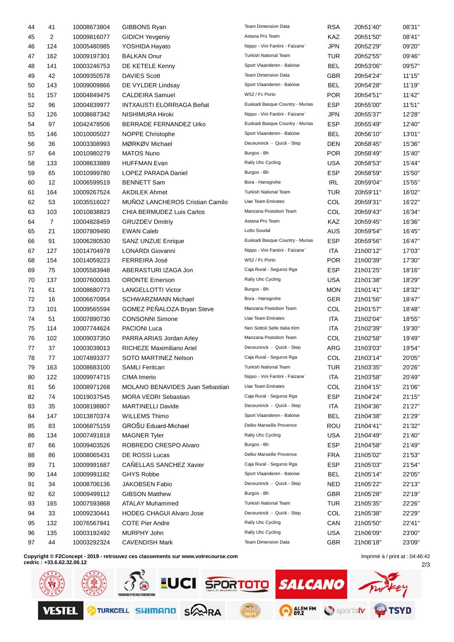| 44 | 41             | 10008673804 | GIBBONS Ryan                           | Team Dimension Data             | <b>RSA</b> | 20h51'40" | 08'31" |
|----|----------------|-------------|----------------------------------------|---------------------------------|------------|-----------|--------|
| 45 | 2              | 10009816077 | <b>GIDICH Yevgeniy</b>                 | Astana Pro Team                 | KAZ        | 20h51'50" | 08'41" |
| 46 | 124            | 10005480985 | YOSHIDA Hayato                         | Nippo - Vini Fantini - Faizane` | <b>JPN</b> | 20h52'29" | 09'20" |
| 47 | 162            | 10009197301 | <b>BALKAN Onur</b>                     | <b>Turkish National Team</b>    | TUR        | 20h52'55" | 09'46" |
| 48 | 141            | 10003246753 | DE KETELE Kenny                        | Sport Vlaanderen - Baloise      | <b>BEL</b> | 20h53'06" | 09'57" |
| 49 | 42             | 10009350578 | <b>DAVIES Scott</b>                    | <b>Team Dimension Data</b>      | <b>GBR</b> | 20h54'24" | 11'15" |
| 50 | 143            | 10009009866 | DE VYLDER Lindsay                      | Sport Vlaanderen - Baloise      | <b>BEL</b> | 20h54'28" | 11'19" |
| 51 | 157            | 10004849475 | <b>CALDEIRA Samuel</b>                 | W52 / Fc Porto                  | <b>POR</b> | 20h54'51" | 11'42" |
| 52 | 96             | 10004839977 | <b>INTXAUSTI ELORRIAGA Beñat</b>       | Euskadi Basque Country - Murias | <b>ESP</b> | 20h55'00" | 11'51" |
| 53 | 126            | 10008687342 | NISHIMURA Hiroki                       | Nippo - Vini Fantini - Faizane` | <b>JPN</b> | 20h55'37" | 12'28" |
| 54 | 97             | 10042478506 | BERRADE FERNANDEZ Urko                 | Euskadi Basque Country - Murias | <b>ESP</b> | 20h55'49" | 12'40" |
| 55 | 146            | 10010005027 | NOPPE Christophe                       | Sport Vlaanderen - Baloise      | BEL        | 20h56'10" | 13'01" |
| 56 | 36             | 10003308993 | MØRKØV Michael                         | Deceuninck - Quick - Step       | <b>DEN</b> | 20h58'45" | 15'36" |
| 57 | 64             | 10010980279 | <b>MATOS Nuno</b>                      | Burgos - Bh                     | <b>POR</b> | 20h58'49" | 15'40" |
| 58 | 133            | 10008633889 | <b>HUFFMAN Evan</b>                    | Rally Uhc Cycling               | <b>USA</b> | 20h58'53" | 15'44" |
| 59 | 65             | 10010999780 | LOPEZ PARADA Daniel                    | Burgos - Bh                     | <b>ESP</b> | 20h58'59" | 15'50" |
| 60 | 12             | 10006599519 | <b>BENNETT Sam</b>                     | Bora - Hansgrohe                | <b>IRL</b> | 20h59'04" | 15'55" |
| 61 | 164            | 10009267524 | <b>AKDILEK Ahmet</b>                   | Turkish National Team           | TUR        | 20h59'11" | 16'02" |
| 62 | 53             | 10035516027 | MUÑOZ LANCHEROS Cristian Camilo        | <b>Uae Team Emirates</b>        | COL        | 20h59'31" | 16'22" |
| 63 | 103            | 10010838823 | CHIA BERMUDEZ Luis Carlos              | Manzana Postobon Team           | COL        | 20h59'43" | 16'34" |
| 64 | $\overline{7}$ | 10004828459 | <b>GRUZDEV Dmitriy</b>                 | Astana Pro Team                 | KAZ        | 20h59'45" | 16'36" |
| 65 | 21             | 10007809490 | <b>EWAN Caleb</b>                      | Lotto Soudal                    | <b>AUS</b> | 20h59'54" | 16'45" |
| 66 | 91             | 10006280530 | <b>SANZ UNZUE Enrique</b>              | Euskadi Basque Country - Murias | <b>ESP</b> | 20h59'56" | 16'47" |
| 67 | 127            | 10014704978 | LONARDI Giovanni                       | Nippo - Vini Fantini - Faizane` | <b>ITA</b> | 21h00'12" | 17'03" |
| 68 | 154            | 10014059223 | <b>FERREIRA José</b>                   | W52 / Fc Porto                  | <b>POR</b> | 21h00'39" | 17'30" |
| 69 | 75             | 10005583948 | ABERASTURI IZAGA Jon                   | Caja Rural - Seguros Rga        | <b>ESP</b> | 21h01'25" | 18'16" |
| 70 | 137            | 10007600033 | <b>ORONTE Emerson</b>                  | Rally Uhc Cycling               | <b>USA</b> | 21h01'38" | 18'29" |
| 71 | 61             | 10008680773 | <b>LANGELLOTTI Victor</b>              | Burgos - Bh                     | <b>MON</b> | 21h01'41" | 18'32" |
| 72 | 16             |             | <b>SCHWARZMANN Michael</b>             | Bora - Hansgrohe                | <b>GER</b> |           | 18'47" |
|    |                | 10006670954 | GOMEZ PEÑALOZA Bryan Steve             | Manzana Postobon Team           | COL        | 21h01'56" | 18'48" |
| 73 | 101            | 10009565594 | <b>CONSONNI Simone</b>                 | <b>Uae Team Emirates</b>        |            | 21h01'57" |        |
| 74 | 51             | 10007890730 |                                        | Neri Sottoli Selle Italia Ktm   | ITA        | 21h02'04" | 18'55" |
| 75 | 114            | 10007744624 | <b>PACIONI Luca</b>                    | Manzana Postobon Team           | <b>ITA</b> | 21h02'39" | 19'30" |
| 76 | 102            | 10009037350 | PARRA ARIAS Jordan Arley               |                                 | <b>COL</b> | 21h02'58" | 19'49" |
| 77 | 37             | 10003039013 | RICHEZE Maximiliano Ariel              | Deceuninck - Quick - Step       | ARG        | 21h03'03" | 19'54" |
| 78 | 77             | 10074893377 | SOTO MARTINEZ Nelson                   | Caja Rural - Seguros Rga        | COL        | 21h03'14" | 20'05" |
| 79 | 163            | 10008683100 | <b>SAMLI Feritcan</b>                  | <b>Turkish National Team</b>    | <b>TUR</b> | 21h03'35" | 20'26" |
| 80 | 122            | 10009974715 | CIMA Imerio                            | Nippo - Vini Fantini - Faizane` | <b>ITA</b> | 21h03'58" | 20'49" |
| 81 | 56             | 10008971268 | <b>MOLANO BENAVIDES Juan Sebastian</b> | <b>Uae Team Emirates</b>        | COL        | 21h04'15" | 21'06" |
| 82 | 74             | 10019037545 | <b>MORA VEDRI Sebastian</b>            | Caja Rural - Seguros Rga        | <b>ESP</b> | 21h04'24" | 21'15" |
| 83 | 35             | 10008198807 | <b>MARTINELLI Davide</b>               | Deceuninck - Quick - Step       | <b>ITA</b> | 21h04'36" | 21'27" |
| 84 | 147            | 10013870374 | <b>WILLEMS Thimo</b>                   | Sport Vlaanderen - Baloise      | <b>BEL</b> | 21h04'38" | 21'29" |
| 85 | 83             | 10006875159 | GROŠU Eduard-Michael                   | Delko Marseille Provence        | <b>ROU</b> | 21h04'41" | 21'32" |
| 86 | 134            | 10007491818 | <b>MAGNER Tyler</b>                    | Rally Uhc Cycling               | <b>USA</b> | 21h04'49" | 21'40" |
| 87 | 66             | 10009403526 | ROBREDO CRESPO Alvaro                  | Burgos - Bh                     | <b>ESP</b> | 21h04'58" | 21'49" |
| 88 | 86             | 10008065431 | <b>DE ROSSI Lucas</b>                  | Delko Marseille Provence        | <b>FRA</b> | 21h05'02" | 21'53" |
| 89 | 71             | 10009991687 | CAÑELLAS SANCHEZ Xavier                | Caja Rural - Seguros Rga        | <b>ESP</b> | 21h05'03" | 21'54" |
| 90 | 144            | 10009991182 | <b>GHYS Robbe</b>                      | Sport Vlaanderen - Baloise      | <b>BEL</b> | 21h05'14" | 22'05" |
| 91 | 34             | 10008706136 | JAKOBSEN Fabio                         | Deceuninck - Quick - Step       | <b>NED</b> | 21h05'22" | 22'13" |
| 92 | 62             | 10009499112 | <b>GIBSON Matthew</b>                  | Burgos - Bh                     | <b>GBR</b> | 21h05'28" | 22'19" |
| 93 | 165            | 10007593868 | <b>ATALAY Muhammed</b>                 | Turkish National Team           | <b>TUR</b> | 21h05'35" | 22'26" |
| 94 | 33             | 10009230441 | <b>HODEG CHAGUI Alvaro Jose</b>        | Deceuninck - Quick - Step       | COL        | 21h05'38" | 22'29" |
| 95 | 132            | 10076567841 | <b>COTE Pier Andre</b>                 | Rally Uhc Cycling               | CAN        | 21h05'50" | 22'41" |
| 96 | 135            | 10003192492 | MURPHY John                            | Rally Uhc Cycling               | <b>USA</b> | 21h06'09" | 23'00" |
| 97 | 44             | 10003292324 | <b>CAVENDISH Mark</b>                  | Team Dimension Data             | GBR        | 21h06'18" | 23'09" |
|    |                |             |                                        |                                 |            |           |        |

**Copyright © F2Concept - 2019 - retrouvez ces classements sur www.votrecourse.com**

**cedric : +33.6.62.32.06.12**

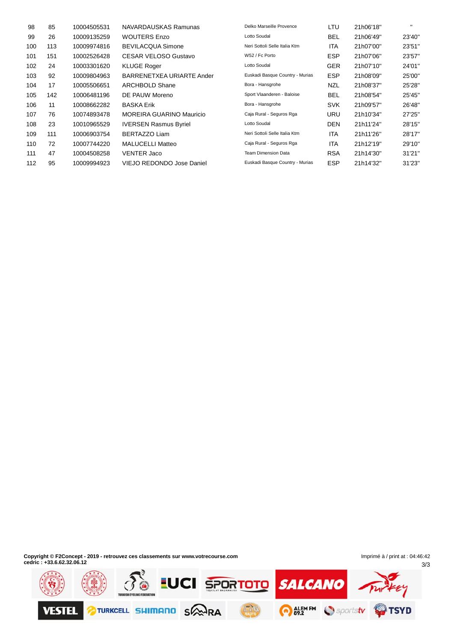| 98  | 85  | 10004505531 | NAVARDAUSKAS Ramunas            | Delko Marseille Provence        | LTU        | 21h06'18" | $\mathbf{H}$ |
|-----|-----|-------------|---------------------------------|---------------------------------|------------|-----------|--------------|
| 99  | 26  | 10009135259 | <b>WOUTERS Enzo</b>             | Lotto Soudal                    | <b>BEL</b> | 21h06'49" | 23'40"       |
| 100 | 113 | 10009974816 | <b>BEVILACQUA Simone</b>        | Neri Sottoli Selle Italia Ktm   | <b>ITA</b> | 21h07'00" | 23'51"       |
| 101 | 151 | 10002526428 | <b>CESAR VELOSO Gustavo</b>     | W52 / Fc Porto                  | <b>ESP</b> | 21h07'06" | 23'57"       |
| 102 | 24  | 10003301620 | <b>KLUGE Roger</b>              | Lotto Soudal                    | <b>GER</b> | 21h07'10" | 24'01"       |
| 103 | 92  | 10009804963 | BARRENETXEA URIARTE Ander       | Euskadi Basque Country - Murias | <b>ESP</b> | 21h08'09" | 25'00"       |
| 104 | 17  | 10005506651 | ARCHBOLD Shane                  | Bora - Hansgrohe                | <b>NZL</b> | 21h08'37" | 25'28"       |
| 105 | 142 | 10006481196 | DE PAUW Moreno                  | Sport Vlaanderen - Baloise      | <b>BEL</b> | 21h08'54" | 25'45"       |
| 106 | 11  | 10008662282 | <b>BASKA Erik</b>               | Bora - Hansgrohe                | <b>SVK</b> | 21h09'57" | 26'48"       |
| 107 | 76  | 10074893478 | <b>MOREIRA GUARINO Mauricio</b> | Caja Rural - Seguros Rga        | URU        | 21h10'34" | 27'25"       |
| 108 | 23  | 10010965529 | <b>IVERSEN Rasmus Byriel</b>    | Lotto Soudal                    | <b>DEN</b> | 21h11'24" | 28'15"       |
| 109 | 111 | 10006903754 | <b>BERTAZZO Liam</b>            | Neri Sottoli Selle Italia Ktm   | <b>ITA</b> | 21h11'26" | 28'17"       |
| 110 | 72  | 10007744220 | <b>MALUCELLI Matteo</b>         | Caja Rural - Seguros Rga        | <b>ITA</b> | 21h12'19" | 29'10"       |
| 111 | 47  | 10004508258 | <b>VENTER Jaco</b>              | <b>Team Dimension Data</b>      | <b>RSA</b> | 21h14'30" | 31'21"       |
| 112 | 95  | 10009994923 | VIEJO REDONDO Jose Daniel       | Euskadi Basque Country - Murias | <b>ESP</b> | 21h14'32" | 31'23"       |

**Copyright © F2Concept - 2019 - retrouvez ces classements sur www.votrecourse.com cedric : +33.6.62.32.06.12**

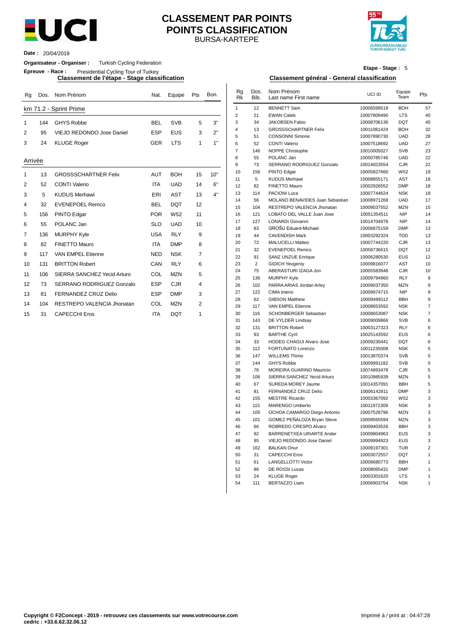

#### BURSA-KARTEPE **CLASSEMENT PAR POINTS POINTS CLASSIFICATION**



**Date :** 20/04/2019

#### **Organisateur - Organiser :** Turkish Cycling Federation

**Epreuve - Race :** Presidential Cycling Tour of Turkey

| Rq             |     | Dos. Nom Prénom             | Nat.       | Equipe          | Pts            | Bon. | Rg<br><b>Rk</b> | Dos.<br>Bib.   | Nom Prénom<br>Last name First name            | UCI ID                     | Equipe<br>Team    | Pts            |
|----------------|-----|-----------------------------|------------|-----------------|----------------|------|-----------------|----------------|-----------------------------------------------|----------------------------|-------------------|----------------|
|                |     | km 71.2 - Sprint Prime      |            |                 |                |      | $\mathbf{1}$    | 12             | <b>BENNETT Sam</b>                            | 10006599519                | <b>BOH</b>        | 57             |
|                |     |                             |            |                 |                |      | $\overline{2}$  | 21             | <b>EWAN Caleb</b>                             | 10007809490                | <b>LTS</b>        | 4 <sub>0</sub> |
| -1             | 144 | <b>GHYS Robbe</b>           | <b>BEL</b> | <b>SVB</b>      | 5              | 3"   | 3               | 34             | <b>JAKOBSEN Fabio</b>                         | 10008706136                | <b>DQT</b>        | 4 <sub>0</sub> |
| 2              | 95  | VIEJO REDONDO Jose Daniel   | <b>ESP</b> | <b>EUS</b>      | 3              | 2"   | 4               | 13             | <b>GROSSSCHARTNER Felix</b>                   | 10011081424                | <b>BOH</b>        | 32             |
|                |     |                             |            |                 |                |      | 5               | 51             | <b>CONSONNI Simone</b>                        | 10007890730                | <b>UAD</b>        | 28             |
| 3              | 24  | <b>KLUGE Roger</b>          | <b>GER</b> | <b>LTS</b>      | 1              | 1"   | 6               | 52             | <b>CONTI Valerio</b>                          | 10007518692                | <b>UAD</b>        | 27             |
|                |     |                             |            |                 |                |      | $\overline{7}$  | 146            | NOPPE Christophe                              | 10010005027                | <b>SVB</b>        | 23             |
| Arrivée        |     |                             |            |                 |                |      | 8               | 55             | POLANC Jan                                    | 10050785746                | <b>UAD</b>        | 22             |
|                |     |                             |            |                 |                |      | 9               | 73             | SERRANO RODRIGUEZ Gonzalo                     | 10014023554                | CJR               | 22             |
|                | 13  | <b>GROSSSCHARTNER Felix</b> | <b>AUT</b> | <b>BOH</b>      | 15             | 10"  | 10              | 156            | PINTO Edgar                                   | 10005827660                | W <sub>52</sub>   | 19             |
|                |     | <b>CONTI Valerio</b>        | <b>ITA</b> |                 |                | 6"   | 11              | 5              | <b>KUDUS Merhawi</b>                          | 10008855171                | <b>AST</b>        | 18             |
| 2              | 52  |                             |            | <b>UAD</b>      | 14             |      | 12              | 82             | <b>FINETTO Mauro</b>                          | 10002926552                | <b>DMP</b>        | 18             |
| 3              | 5   | <b>KUDUS Merhawi</b>        | ERI        | AST             | 13             | 4"   | 13              | 114            | PACIONI Luca                                  | 10007744624                | <b>NSK</b>        | 18             |
| 4              | 32  | <b>EVENEPOEL Remco</b>      | <b>BEL</b> | <b>DQT</b>      | 12             |      | 14              | 56             | MOLANO BENAVIDES Juan Sebastian               | 10008971268                | <b>UAD</b>        | 17             |
|                |     |                             |            |                 |                |      | 15              | 104            | RESTREPO VALENCIA Jhonatan                    | 10009037552                | <b>MZN</b>        | 15             |
| 5              | 156 | PINTO Edgar                 | <b>POR</b> | W <sub>52</sub> | 11             |      | 16              | 121            | LOBATO DEL VALLE Juan Jose                    | 10051354511                | <b>NIP</b>        | 14             |
| 6              | 55  | POLANC Jan                  | <b>SLO</b> | <b>UAD</b>      | 10             |      | 17              | 127            | <b>LONARDI Giovanni</b>                       | 10014704978                | <b>NIP</b>        | 14             |
| $\overline{7}$ | 136 | <b>MURPHY Kyle</b>          | <b>USA</b> | <b>RLY</b>      | 9              |      | 18              | 83             | GROŠU Eduard-Michael<br><b>CAVENDISH Mark</b> | 10006875159                | <b>DMP</b>        | 13             |
|                |     |                             |            |                 |                |      | 19              | 44             | <b>MALUCELLI Matteo</b>                       | 10003292324                | <b>TDD</b><br>CJR | 13             |
| 8              | 82  | FINETTO Mauro               | <b>ITA</b> | <b>DMP</b>      | 8              |      | 20<br>21        | 72<br>32       | <b>EVENEPOEL Remco</b>                        | 10007744220<br>10058736615 | <b>DQT</b>        | 13<br>12       |
| 9              | 117 | <b>VAN EMPEL Etienne</b>    | <b>NED</b> | <b>NSK</b>      | $\overline{7}$ |      | 22              | 91             | <b>SANZ UNZUE Enrique</b>                     | 10006280530                | <b>EUS</b>        | 12             |
| 10             | 131 | <b>BRITTON Robert</b>       | CAN        | <b>RLY</b>      | 6              |      | 23              | $\overline{2}$ | <b>GIDICH Yevgeniy</b>                        | 10009816077                | <b>AST</b>        | 1 <sub>0</sub> |
|                |     |                             |            |                 |                |      | 24              | 75             | ABERASTURI IZAGA Jon                          | 10005583948                | CJR               | 1 <sub>0</sub> |
| 11             | 106 | SIERRA SANCHEZ Yecid Arturo | COL        | <b>MZN</b>      | 5              |      | 25              | 136            | MURPHY Kyle                                   | 10009794960                | <b>RLY</b>        | ç              |
| 12             | 73  | SERRANO RODRIGUEZ Gonzalo   | <b>ESP</b> | <b>CJR</b>      | 4              |      | 26              | 102            | PARRA ARIAS Jordan Arley                      | 10009037350                | <b>MZN</b>        |                |
| 13             | 81  | FERNANDEZ CRUZ Delio        | <b>ESP</b> | <b>DMP</b>      | 3              |      | 27              | 122            | CIMA Imerio                                   | 10009974715                | <b>NIP</b>        |                |
|                |     |                             |            |                 |                |      | 28              | 62             | <b>GIBSON Matthew</b>                         | 10009499112                | <b>BBH</b>        |                |
| 14             | 104 | RESTREPO VALENCIA Jhonatan  | COL        | <b>MZN</b>      | $\overline{2}$ |      | 29              | 117            | VAN EMPEL Etienne                             | 10008653592                | <b>NSK</b>        |                |
| 15             | 31  | <b>CAPECCHI Eros</b>        | <b>ITA</b> | <b>DOT</b>      | 1              |      | 30              | 116            | <b>SCHONBERGER Sebastian</b>                  | 10008653087                | <b>NSK</b>        |                |

### **Etape - Stage :** 5

#### **Classement de l'étape - Stage classification Classement général - General classification**

| Rg      |     | Dos. Nom Prénom             | Nat.       | Equipe          | Pts            | Bon. | $\mathsf{R} \mathsf{g}$<br>Rk | Dos.<br>Bib.   | Nom Prénom<br>Last name First name                | UCI ID                     | Equipe<br>Team           | Pts                          |
|---------|-----|-----------------------------|------------|-----------------|----------------|------|-------------------------------|----------------|---------------------------------------------------|----------------------------|--------------------------|------------------------------|
|         |     | km 71.2 - Sprint Prime      |            |                 |                |      | $\mathbf{1}$                  | 12             | <b>BENNETT Sam</b>                                | 10006599519                | <b>BOH</b>               | 57                           |
|         |     |                             |            |                 |                |      | $\sqrt{2}$                    | 21             | <b>EWAN Caleb</b>                                 | 10007809490                | <b>LTS</b>               | 40                           |
| 1       | 144 | <b>GHYS Robbe</b>           | <b>BEL</b> | <b>SVB</b>      | 5              | 3"   | 3                             | 34             | <b>JAKOBSEN Fabio</b>                             | 10008706136                | <b>DQT</b>               | 40                           |
| 2       | 95  | VIEJO REDONDO Jose Daniel   | <b>ESP</b> | <b>EUS</b>      | 3              | 2"   | $\overline{4}$                | 13             | <b>GROSSSCHARTNER Felix</b>                       | 10011081424                | <b>BOH</b>               | 32                           |
|         |     |                             |            |                 |                |      | 5                             | 51             | <b>CONSONNI Simone</b>                            | 10007890730                | <b>UAD</b>               | 28                           |
| 3       | 24  | <b>KLUGE Roger</b>          | <b>GER</b> | <b>LTS</b>      | $\mathbf{1}$   | 1"   | 6                             | 52             | <b>CONTI Valerio</b>                              | 10007518692                | <b>UAD</b>               | 27                           |
|         |     |                             |            |                 |                |      | $\overline{7}$                | 146            | NOPPE Christophe                                  | 10010005027                | <b>SVB</b>               | 23                           |
| Arrivée |     |                             |            |                 |                |      | 8<br>9                        | 55             | POLANC Jan                                        | 10050785746                | <b>UAD</b>               | 22                           |
|         |     |                             |            |                 |                |      | 10                            | 73<br>156      | SERRANO RODRIGUEZ Gonzalo<br>PINTO Edgar          | 10014023554<br>10005827660 | <b>CJR</b><br>W52        | 22<br>19                     |
| 1       | 13  | <b>GROSSSCHARTNER Felix</b> | <b>AUT</b> | <b>BOH</b>      | 15             | 10"  | 11                            | 5              | <b>KUDUS Merhawi</b>                              | 10008855171                | AST                      | 18                           |
| 2       | 52  | <b>CONTI Valerio</b>        | <b>ITA</b> | <b>UAD</b>      | 14             | 6"   | 12                            | 82             | FINETTO Mauro                                     | 10002926552                | <b>DMP</b>               | 18                           |
| 3       | 5   | <b>KUDUS Merhawi</b>        | ERI        | <b>AST</b>      | 13             | 4"   | 13                            | 114            | PACIONI Luca                                      | 10007744624                | <b>NSK</b>               | 18                           |
|         |     |                             |            |                 |                |      | 14                            | 56             | MOLANO BENAVIDES Juan Sebastian                   | 10008971268                | <b>UAD</b>               | 17                           |
| 4       | 32  | <b>EVENEPOEL Remco</b>      | <b>BEL</b> | <b>DQT</b>      | 12             |      | 15                            | 104            | RESTREPO VALENCIA Jhonatan                        | 10009037552                | <b>MZN</b>               | 15                           |
| 5       | 156 | PINTO Edgar                 | <b>POR</b> | W <sub>52</sub> | 11             |      | 16                            | 121            | LOBATO DEL VALLE Juan Jose                        | 10051354511                | <b>NIP</b>               | 14                           |
| 6       | 55  | POLANC Jan                  | <b>SLO</b> | <b>UAD</b>      | 10             |      | 17                            | 127            | LONARDI Giovanni                                  | 10014704978                | <b>NIP</b>               | 14                           |
|         |     |                             |            |                 |                |      | 18                            | 83             | GROŠU Eduard-Michael                              | 10006875159                | <b>DMP</b>               | 13                           |
| 7       | 136 | <b>MURPHY Kyle</b>          | <b>USA</b> | <b>RLY</b>      | 9              |      | 19                            | 44             | <b>CAVENDISH Mark</b>                             | 10003292324                | <b>TDD</b>               | 13                           |
| 8       | 82  | FINETTO Mauro               | <b>ITA</b> | <b>DMP</b>      | 8              |      | 20                            | 72             | <b>MALUCELLI Matteo</b>                           | 10007744220                | <b>CJR</b>               | 13                           |
| 9       | 117 | VAN EMPEL Etienne           | <b>NED</b> | <b>NSK</b>      | $\overline{7}$ |      | 21                            | 32             | <b>EVENEPOEL Remco</b>                            | 10058736615                | <b>DQT</b>               | 12                           |
|         |     |                             |            |                 |                |      | 22                            | 91             | SANZ UNZUE Enrique                                | 10006280530                | <b>EUS</b>               | 12                           |
| 10      | 131 | <b>BRITTON Robert</b>       | CAN        | <b>RLY</b>      | 6              |      | 23                            | $\overline{c}$ | <b>GIDICH Yevgeniy</b>                            | 10009816077                | <b>AST</b>               | 10                           |
| 11      | 106 | SIERRA SANCHEZ Yecid Arturo | COL        | <b>MZN</b>      | 5              |      | 24<br>25                      | 75<br>136      | ABERASTURI IZAGA Jon                              | 10005583948<br>10009794960 | <b>CJR</b><br><b>RLY</b> | 10<br>9                      |
| 12      | 73  | SERRANO RODRIGUEZ Gonzalo   | <b>ESP</b> | <b>CJR</b>      | $\overline{4}$ |      | 26                            | 102            | MURPHY Kyle<br>PARRA ARIAS Jordan Arley           | 10009037350                | <b>MZN</b>               | 9                            |
|         |     |                             |            |                 |                |      | 27                            | 122            | CIMA Imerio                                       | 10009974715                | <b>NIP</b>               | 9                            |
| 13      | 81  | FERNANDEZ CRUZ Delio        | <b>ESP</b> | <b>DMP</b>      | 3              |      | 28                            | 62             | <b>GIBSON Matthew</b>                             | 10009499112                | <b>BBH</b>               | $\boldsymbol{9}$             |
| 14      | 104 | RESTREPO VALENCIA Jhonatan  | COL        | <b>MZN</b>      | $\overline{2}$ |      | 29                            | 117            | VAN EMPEL Etienne                                 | 10008653592                | <b>NSK</b>               | 7                            |
| 15      | 31  | <b>CAPECCHI Eros</b>        | <b>ITA</b> | <b>DQT</b>      | $\mathbf{1}$   |      | 30                            | 116            | SCHONBERGER Sebastian                             | 10008653087                | <b>NSK</b>               | $\overline{7}$               |
|         |     |                             |            |                 |                |      | 31                            | 143            | DE VYLDER Lindsay                                 | 10009009866                | <b>SVB</b>               | 6                            |
|         |     |                             |            |                 |                |      | 32                            | 131            | <b>BRITTON Robert</b>                             | 10003127323                | <b>RLY</b>               | 6                            |
|         |     |                             |            |                 |                |      | 33                            | 93             | <b>BARTHE Cyril</b>                               | 10025143592                | <b>EUS</b>               | 6                            |
|         |     |                             |            |                 |                |      | 34                            | 33             | HODEG CHAGUI Alvaro Jose                          | 10009230441                | <b>DQT</b>               | 6                            |
|         |     |                             |            |                 |                |      | 35                            | 112            | FORTUNATO Lorenzo                                 | 10011235008                | <b>NSK</b>               | 5                            |
|         |     |                             |            |                 |                |      | 36                            | 147            | <b>WILLEMS Thimo</b>                              | 10013870374                | <b>SVB</b>               | 5                            |
|         |     |                             |            |                 |                |      | 37                            | 144            | <b>GHYS Robbe</b>                                 | 10009991182                | <b>SVB</b>               | 5                            |
|         |     |                             |            |                 |                |      | 38<br>39                      | 76             | MOREIRA GUARINO Mauricio                          | 10074893478                | CJR                      | 5<br>5                       |
|         |     |                             |            |                 |                |      | 40                            | 106<br>67      | SIERRA SANCHEZ Yecid Arturo<br>SUREDA MOREY Jaume | 10010985939<br>10014357091 | <b>MZN</b><br><b>BBH</b> | 5                            |
|         |     |                             |            |                 |                |      | 41                            | 81             | FERNANDEZ CRUZ Delio                              | 10006142811                | <b>DMP</b>               | 3                            |
|         |     |                             |            |                 |                |      | 42                            | 155            | <b>MESTRE Ricardo</b>                             | 10003367092                | W <sub>52</sub>          | 3                            |
|         |     |                             |            |                 |                |      | 43                            | 115            | MARENGO Umberto                                   | 10011972309                | <b>NSK</b>               | 3                            |
|         |     |                             |            |                 |                |      | 44                            | 105            | OCHOA CAMARGO Diego Antonio                       | 10007528796                | <b>MZN</b>               | 3                            |
|         |     |                             |            |                 |                |      | 45                            | 101            | GOMEZ PEÑALOZA Bryan Steve                        | 10009565594                | <b>MZN</b>               | 3                            |
|         |     |                             |            |                 |                |      | 46                            | 66             | ROBREDO CRESPO Alvaro                             | 10009403526                | <b>BBH</b>               | 3                            |
|         |     |                             |            |                 |                |      | 47                            | 92             | BARRENETXEA URIARTE Ander                         | 10009804963                | <b>EUS</b>               | 3                            |
|         |     |                             |            |                 |                |      | 48                            | 95             | VIEJO REDONDO Jose Daniel                         | 10009994923                | <b>EUS</b>               | 3                            |
|         |     |                             |            |                 |                |      | 49                            | 162            | <b>BALKAN Onur</b>                                | 10009197301                | <b>TUR</b>               | $\overline{2}$               |
|         |     |                             |            |                 |                |      | 50                            | 31             | <b>CAPECCHI Eros</b>                              | 10003072557                | <b>DQT</b>               | $\mathbf{1}$                 |
|         |     |                             |            |                 |                |      | 51                            | 61             | <b>LANGELLOTTI Victor</b>                         | 10008680773                | <b>BBH</b>               | $\mathbf{1}$                 |
|         |     |                             |            |                 |                |      | 52<br>53                      | 86             | DE ROSSI Lucas                                    | 10008065431                | <b>DMP</b>               | $\mathbf{1}$                 |
|         |     |                             |            |                 |                |      | 54                            | 24<br>111      | <b>KLUGE Roger</b><br><b>BERTAZZO Liam</b>        | 10003301620<br>10006903754 | <b>LTS</b><br><b>NSK</b> | $\mathbf{1}$<br>$\mathbf{1}$ |
|         |     |                             |            |                 |                |      |                               |                |                                                   |                            |                          |                              |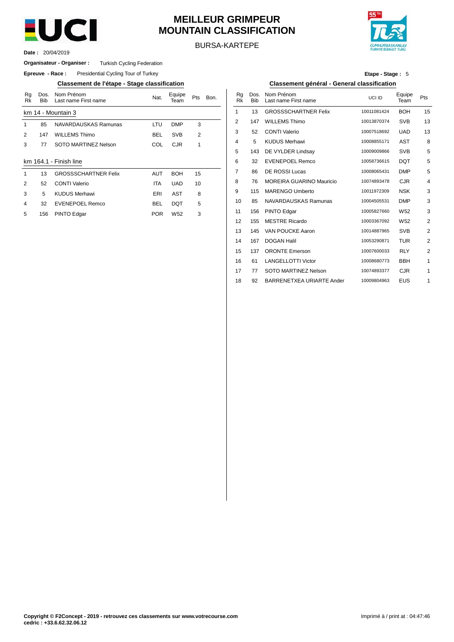

## **MEILLEUR GRIMPEUR MOUNTAIN CLASSIFICATION**

BURSA-KARTEPE



20/04/2019 **Date :**

#### **Organisateur - Organiser :** Turkish Cycling Federation

**Epreuve - Race:** Presidential Cycling Tour of Turkey

**Classement de l'étape - Stage classification Classement général - General classification**

| Rq<br>Rk | Dos.<br><b>Bib</b> | Nom Prénom<br>Last name First name | Nat.       | Equipe<br>Team  | Pts            | Bon. | Rq<br>Rk        | Dos.<br><b>Bib</b> | Nom Prénom<br>Last name First n |
|----------|--------------------|------------------------------------|------------|-----------------|----------------|------|-----------------|--------------------|---------------------------------|
|          |                    | km 14 - Mountain 3                 |            |                 |                |      | 1               | 13                 | <b>GROSSSCHART</b>              |
| 1        | 85                 | NAVARDAUSKAS Ramunas               | LTU        | <b>DMP</b>      | 3              |      | 2               | 147                | <b>WILLEMS Thimo</b>            |
| 2        | 147                | <b>WILLEMS Thimo</b>               | <b>BEL</b> | <b>SVB</b>      | $\overline{2}$ |      | 3               | 52                 | <b>CONTI Valerio</b>            |
| 3        | 77                 | SOTO MARTINEZ Nelson               | COL        | <b>CJR</b>      | 1              |      | 4               | 5                  | <b>KUDUS Merhawi</b>            |
|          |                    |                                    |            |                 |                |      | 5               | 143                | DE VYLDER Lind                  |
|          |                    | km 164.1 - Finish line             |            |                 |                |      | 6               | 32                 | <b>EVENEPOEL Re</b>             |
| 1        | 13                 | <b>GROSSSCHARTNER Felix</b>        | <b>AUT</b> | <b>BOH</b>      | 15             |      | 7               | 86                 | <b>DE ROSSI Lucas</b>           |
| 2        | 52                 | <b>CONTI Valerio</b>               | <b>ITA</b> | <b>UAD</b>      | 10             |      | 8               | 76                 | <b>MOREIRA GUAR</b>             |
| 3        | 5                  | <b>KUDUS Merhawi</b>               | ERI        | AST             | 8              |      | 9               | 115                | MARENGO Umb                     |
| 4        | 32                 | EVENEPOEL Remco                    | <b>BEL</b> | <b>DQT</b>      | 5              |      | 10 <sup>1</sup> | 85                 | NAVARDAUSKA                     |
| 5        | 156                | PINTO Edgar                        | <b>POR</b> | W <sub>52</sub> | 3              |      | 11              | 156                | PINTO Edgar                     |
|          |                    |                                    |            |                 |                |      | $\sqrt{2}$      |                    | $A = 1$ $A = 0$ $A = 0$         |

| Etape - Stage: 5 |  |
|------------------|--|
|------------------|--|

| Nom Prénom<br>Last name First name | Nat.       | Equipe<br>Team  | Pts | Bon. | Rq<br>Rk | Dos.<br><b>Bib</b> | Nom Prénom<br>Last name First name | UCI ID      | Equipe<br>Team  | Pts            |
|------------------------------------|------------|-----------------|-----|------|----------|--------------------|------------------------------------|-------------|-----------------|----------------|
| untain 3                           |            |                 |     |      | 1        | 13                 | <b>GROSSSCHARTNER Felix</b>        | 10011081424 | <b>BOH</b>      | 15             |
| NAVARDAUSKAS Ramunas               | LTU        | <b>DMP</b>      | 3   |      | 2        | 147                | <b>WILLEMS Thimo</b>               | 10013870374 | <b>SVB</b>      | 13             |
| <b>WILLEMS Thimo</b>               | <b>BEL</b> | <b>SVB</b>      | 2   |      | 3        | 52                 | <b>CONTI Valerio</b>               | 10007518692 | <b>UAD</b>      | 13             |
| SOTO MARTINEZ Nelson               | COL        | <b>CJR</b>      | 1   |      | 4        | 5                  | <b>KUDUS Merhawi</b>               | 10008855171 | AST             | 8              |
|                                    |            |                 |     |      | 5        | 143                | DE VYLDER Lindsay                  | 10009009866 | <b>SVB</b>      | 5              |
| Finish line                        |            |                 |     |      | 6        | 32                 | <b>EVENEPOEL Remco</b>             | 10058736615 | <b>DQT</b>      | 5              |
| <b>GROSSSCHARTNER Felix</b>        | <b>AUT</b> | <b>BOH</b>      | 15  |      | 7        | 86                 | <b>DE ROSSI Lucas</b>              | 10008065431 | <b>DMP</b>      | 5              |
| <b>CONTI Valerio</b>               | <b>ITA</b> | <b>UAD</b>      | 10  |      | 8        | 76                 | <b>MOREIRA GUARINO Mauricio</b>    | 10074893478 | <b>CJR</b>      | 4              |
| KUDUS Merhawi                      | ERI        | <b>AST</b>      | 8   |      | 9        | 115                | <b>MARENGO Umberto</b>             | 10011972309 | <b>NSK</b>      | 3              |
| <b>EVENEPOEL Remco</b>             | <b>BEL</b> | <b>DQT</b>      | 5   |      | 10       | 85                 | NAVARDAUSKAS Ramunas               | 10004505531 | <b>DMP</b>      | 3              |
| PINTO Edgar                        | <b>POR</b> | W <sub>52</sub> | 3   |      | 11       | 156                | PINTO Edgar                        | 10005827660 | W <sub>52</sub> | 3              |
|                                    |            |                 |     |      | 12       | 155                | <b>MESTRE Ricardo</b>              | 10003367092 | W <sub>52</sub> | $\overline{2}$ |
|                                    |            |                 |     |      | 13       | 145                | VAN POUCKE Aaron                   | 10014887965 | <b>SVB</b>      | 2              |
|                                    |            |                 |     |      | 14       | 167                | <b>DOGAN Halil</b>                 | 10053290871 | <b>TUR</b>      | 2              |
|                                    |            |                 |     |      | 15       | 137                | <b>ORONTE Emerson</b>              | 10007600033 | <b>RLY</b>      | $\overline{2}$ |
|                                    |            |                 |     |      | 16       | 61                 | <b>LANGELLOTTI Victor</b>          | 10008680773 | <b>BBH</b>      | 1              |
|                                    |            |                 |     |      | 17       | 77                 | SOTO MARTINEZ Nelson               | 10074893377 | <b>CJR</b>      | 1              |
|                                    |            |                 |     |      | 18       | 92                 | BARRENETXEA URIARTE Ander          | 10009804963 | EUS             | 1              |
|                                    |            |                 |     |      |          |                    |                                    |             |                 |                |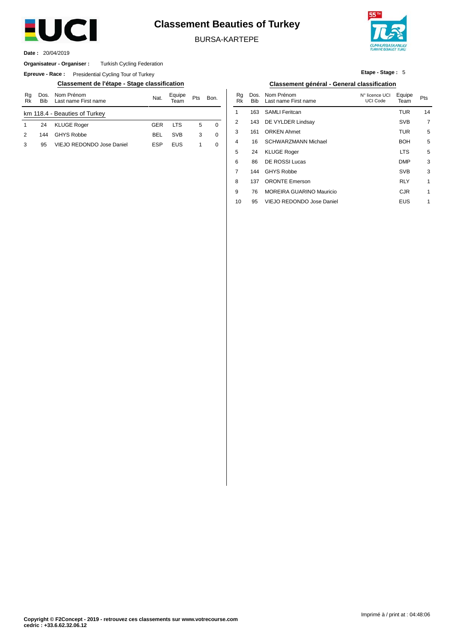

## **Classement Beauties of Turkey**

BURSA-KARTEPE



20/04/2019 **Date :**

#### **Organisateur - Organiser :** Turkish Cycling Federation

**Epreuve - Race:** Presidential Cycling Tour of Turkey

| Rg<br>Rk | <b>Bib</b> | Dos. Nom Prénom<br>Last name First name | Nat.       | Equipe<br>Геаm | Pts | Bon. |
|----------|------------|-----------------------------------------|------------|----------------|-----|------|
|          |            | km 118.4 - Beauties of Turkey           |            |                |     |      |
|          | 24         | <b>KLUGE Roger</b>                      | GFR        | <b>ITS</b>     | 5   | 0    |
| 2        | 144        | <b>GHYS Robbe</b>                       | <b>BFI</b> | <b>SVB</b>     | 3   | 0    |
| 3        | 95         | VIEJO REDONDO Jose Daniel               | FSP        | <b>FUS</b>     |     | 0    |

**Etape - Stage :** 5

#### **Classement de l'étape - Stage classification Classement général - General classification**

| Nom Prénom<br>Last name First name | Nat.       | Equipe<br>Team | Pts | Bon. | Rq<br>Rk | Dos.<br><b>Bib</b> | Nom Prénom<br>Last name First name | N° licence UCI<br>UCI Code | Equipe<br>Team | Pts            |
|------------------------------------|------------|----------------|-----|------|----------|--------------------|------------------------------------|----------------------------|----------------|----------------|
| Beauties of Turkey                 |            |                |     |      |          | 163                | <b>SAMLI Feritcan</b>              |                            | <b>TUR</b>     | 14             |
| <b>KLUGE Roger</b>                 | <b>GER</b> | <b>LTS</b>     | 5   | 0    | 2        | 143                | DE VYLDER Lindsay                  |                            | <b>SVB</b>     | $\overline{7}$ |
| <b>GHYS Robbe</b>                  | <b>BEL</b> | <b>SVB</b>     | 3   | 0    | 3        | 161                | <b>ORKEN Ahmet</b>                 |                            | <b>TUR</b>     | 5              |
| VIEJO REDONDO Jose Daniel          | <b>ESP</b> | <b>EUS</b>     | 1   | 0    | 4        | 16                 | <b>SCHWARZMANN Michael</b>         |                            | <b>BOH</b>     | 5              |
|                                    |            |                |     |      | 5        | 24                 | <b>KLUGE Roger</b>                 |                            | <b>LTS</b>     | 5              |
|                                    |            |                |     |      | 6        | 86                 | <b>DE ROSSI Lucas</b>              |                            | <b>DMP</b>     | 3              |
|                                    |            |                |     |      | 7        | 144                | <b>GHYS Robbe</b>                  |                            | <b>SVB</b>     | 3              |
|                                    |            |                |     |      | 8        | 137                | <b>ORONTE Emerson</b>              |                            | <b>RLY</b>     | 1              |
|                                    |            |                |     |      | 9        | 76                 | <b>MOREIRA GUARINO Mauricio</b>    |                            | <b>CJR</b>     | 1              |
|                                    |            |                |     |      | 10       | 95                 | VIEJO REDONDO Jose Daniel          |                            | <b>EUS</b>     | 1              |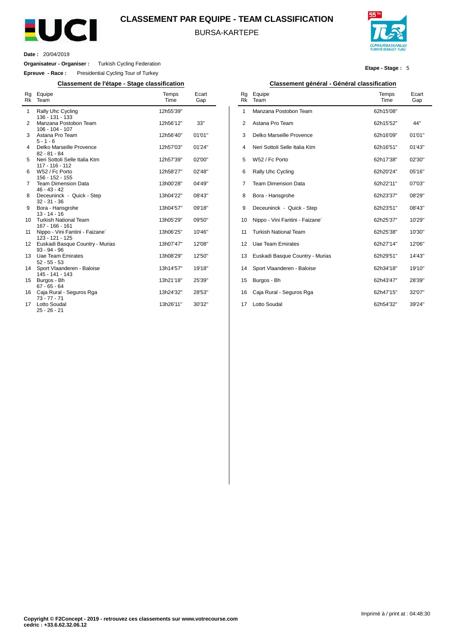

#### **CLASSEMENT PAR EQUIPE - TEAM CLASSIFICATION**

BURSA-KARTEPE



**Etape - Stage :** 5

**Date :** 20/04/2019

 $\overline{a}$ 

**Organisateur - Organiser :** Turkish Cycling Federation

**Epreuve - Race :** Presidential Cycling Tour of Turkey

**Classement de l'étape - Stage classification Classement général - Général classification**

| Rg<br>Rk | Equipe<br>Team                                                         | Temps<br>Time          | Ecart<br>Gap     |
|----------|------------------------------------------------------------------------|------------------------|------------------|
| 1        | Rally Uhc Cycling<br>136 - 131 - 133                                   | 12h55'39"              |                  |
| 2        | Manzana Postobon Team<br>$106 - 104 - 107$                             | 12h56'12"              | 33"              |
| 3        | Astana Pro Team<br>$5 - 1 - 6$                                         | 12h56'40"              | 01'01"           |
| 4        | Delko Marseille Provence<br>$82 - 81 - 84$                             | 12h57'03"              | 01'24"           |
| 5        | Neri Sottoli Selle Italia Ktm<br>117 - 116 - 112                       | 12h57'39"              | 02'00"           |
| 6        | W52 / Fc Porto<br>156 - 152 - 155                                      | 12h58'27"              | 02'48"           |
| 7        | <b>Team Dimension Data</b><br>$46 - 43 - 42$                           | 13h00'28"              | 04'49"           |
| 8        | Deceuninck - Quick - Step<br>$32 - 31 - 36$                            | 13h04'22"              | 08'43"           |
| 9        | Bora - Hansgrohe<br>$13 - 14 - 16$                                     | 13h04'57"              | 09'18"           |
| 10       | <b>Turkish National Team</b><br>167 - 166 - 161                        | 13h05'29"              | 09'50"           |
| 11       | Nippo - Vini Fantini - Faizane`<br>123 - 121 - 125                     | 13h06'25"              | 10'46"           |
| 12<br>13 | Euskadi Basque Country - Murias<br>$93 - 94 - 96$<br>Uae Team Emirates | 13h07'47"<br>13h08'29" | 12'08"<br>12'50" |
| 14       | $52 - 55 - 53$<br>Sport Vlaanderen - Baloise                           | 13h14'57"              | 19'18"           |
| 15       | 145 - 141 - 143<br>Burgos - Bh                                         | 13h21'18"              | 25'39"           |
|          | $67 - 65 - 64$                                                         |                        |                  |
| 16       | Caja Rural - Seguros Rga<br>$73 - 77 - 71$                             | 13h24'32"              | 28'53"           |
| 17       | Lotto Soudal<br>$25 - 26 - 21$                                         | 13h26'11"              | 30'32"           |

| Rg<br>Rk | Equipe<br>Team                  | Temps<br>Time | Ecart<br>Gap |
|----------|---------------------------------|---------------|--------------|
| 1        | Manzana Postobon Team           | 62h15'08"     |              |
| 2        | Astana Pro Team                 | 62h15'52"     | 44"          |
| 3        | Delko Marseille Provence        | 62h16'09"     | 01'01"       |
| 4        | Neri Sottoli Selle Italia Ktm   | 62h16'51"     | 01'43"       |
| 5        | W52 / Fc Porto                  | 62h17'38"     | 02'30"       |
| 6        | <b>Rally Uhc Cycling</b>        | 62h20'24"     | 05'16"       |
| 7        | <b>Team Dimension Data</b>      | 62h22'11"     | 07'03"       |
| 8        | Bora - Hansgrohe                | 62h23'37"     | 08'29"       |
| 9        | Deceuninck - Quick - Step       | 62h23'51"     | 08'43"       |
| 10       | Nippo - Vini Fantini - Faizane` | 62h25'37"     | 10'29"       |
| 11       | <b>Turkish National Team</b>    | 62h25'38"     | 10'30"       |
| 12       | Uae Team Emirates               | 62h27'14"     | 12'06"       |
| 13       | Euskadi Basque Country - Murias | 62h29'51"     | 14'43"       |
| 14       | Sport Vlaanderen - Baloise      | 62h34'18"     | 19'10"       |
| 15       | Burgos - Bh                     | 62h43'47"     | 28'39"       |
| 16       | Caja Rural - Seguros Rga        | 62h47'15"     | 32'07"       |
| 17       | Lotto Soudal                    | 62h54'32"     | 39'24"       |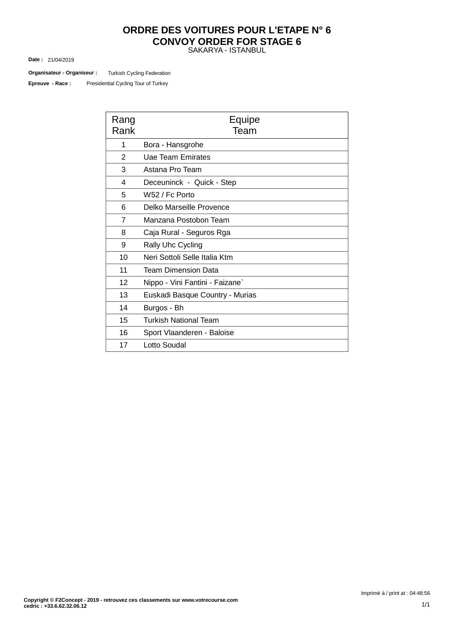#### SAKARYA - ISTANBUL **ORDRE DES VOITURES POUR L'ETAPE N° 6 CONVOY ORDER FOR STAGE 6**

21/04/2019 **Date :**

Turkish Cycling Federation **Organisateur - Organiseur :**

Presidential Cycling Tour of Turkey **Epreuve - Race :**

| Rang<br>Rank   | Equipe<br>Team                  |
|----------------|---------------------------------|
| 1              | Bora - Hansgrohe                |
| $\overline{2}$ | Uae Team Emirates               |
| 3              | Astana Pro Team                 |
| 4              | Deceuninck - Quick - Step       |
| 5              | W52 / Fc Porto                  |
| 6              | Delko Marseille Provence        |
| $\overline{7}$ | Manzana Postobon Team           |
| 8              | Caja Rural - Seguros Rga        |
| 9              | <b>Rally Uhc Cycling</b>        |
| 10             | Neri Sottoli Selle Italia Ktm   |
| 11             | <b>Team Dimension Data</b>      |
| 12             | Nippo - Vini Fantini - Faizane` |
| 13             | Euskadi Basque Country - Murias |
| 14             | Burgos - Bh                     |
| 15             | <b>Turkish National Team</b>    |
| 16             | Sport Vlaanderen - Baloise      |
| 17             | Lotto Soudal                    |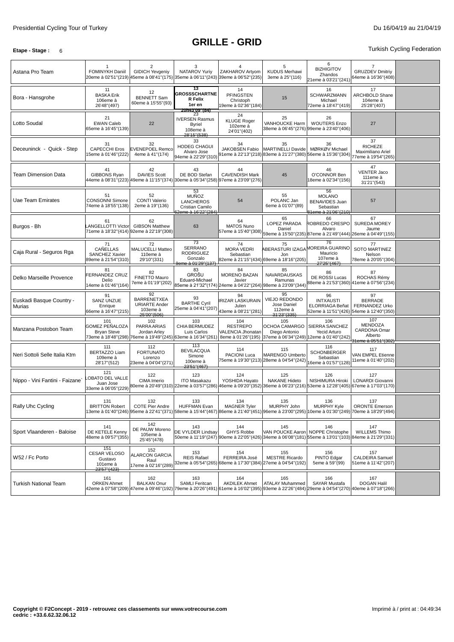#### **Etape -** Stage: 6 **Turkish Cycling Federation**

| Astana Pro Team                    | -1<br><b>FOMINYKH Daniil</b><br>20eme à 02'51"(219)                                                               | 2<br><b>GIDICH Yevgeniy</b>                                                 | 3<br>NATAROV Yuriy<br>45eme à 08'41"(175) 35eme à 06'11"(243)                     | $\overline{4}$<br>ZAKHAROV Artyom<br>39eme à 06'52"(235)                                                                                                                   | 5<br><b>KUDUS Merhawi</b><br>3eme à 25"(116)                                                                   | 6<br><b>BIZHIGITOV</b><br>Zhandos<br>21eme à 03'21"(241)                                      | 7<br><b>GRUZDEV Dmitriy</b><br>64eme à 16'36''(408)               |  |
|------------------------------------|-------------------------------------------------------------------------------------------------------------------|-----------------------------------------------------------------------------|-----------------------------------------------------------------------------------|----------------------------------------------------------------------------------------------------------------------------------------------------------------------------|----------------------------------------------------------------------------------------------------------------|-----------------------------------------------------------------------------------------------|-------------------------------------------------------------------|--|
| Bora - Hansgrohe                   | 11<br><b>BASKA Erik</b><br>106eme à<br>26'48" (497)                                                               | 12<br><b>BENNETT Sam</b><br>60eme à 15'55"(93)                              | 13<br><b>GROSSSCHARTNE</b><br><b>R</b> Felix<br>1er en<br>zun43 09 (84)           | 14<br><b>PFINGSTEN</b><br>Christoph<br>19eme à 02'36"(184)                                                                                                                 | 15                                                                                                             | 16<br><b>SCHWARZMANN</b><br>Michael<br>72eme à 18'47"(419)                                    | 17<br>ARCHBOLD Shane<br>104eme à<br>25'28"(407)                   |  |
| Lotto Soudal                       | 21<br><b>EWAN Caleb</b><br>65eme à 16'45''(139)                                                                   | 22                                                                          | 23<br><b>IVERSEN Rasmus</b><br><b>Byriel</b><br>108eme à<br>28'15"(538)           | 24<br><b>KLUGE Roger</b><br>102eme à<br>24'01"(402)                                                                                                                        | 25<br><b>VANHOUCKE Harm</b><br>38eme à 06'45"(276) 99eme à 23'40"(406)                                         | 26<br><b>WOUTERS Enzo</b>                                                                     | 27                                                                |  |
| Deceuninck - Quick - Step          | 31<br><b>CAPECCHI Eros</b><br>5eme à 01'46"(222)                                                                  | 32<br><b>EVENEPOEL Remco</b><br>4eme à 41"(174)                             | 33<br>HODEG CHAGUI<br>Alvaro Jose<br>94eme à 22'29"(310)                          | 34<br>JAKOBSEN Fabio                                                                                                                                                       | 35<br><b>MARTINELLI Davide</b><br>91eme à 22'13"(218) 83eme à 21'27"(380) 56eme à 15'36"(304)                  | 36<br>MØRKØV Michael                                                                          | 37<br><b>RICHEZE</b><br>Maximiliano Ariel<br>77eme à 19'54"(265)  |  |
| <b>Team Dimension Data</b>         | 41<br>GIBBONS Ryan<br>44eme à 08'31"(223)                                                                         | 42<br><b>DAVIES Scott</b>                                                   | 43<br>DE BOD Stefan<br>49eme à 11'15"(374) 30eme à 05'34"(258)                    | 44<br><b>CAVENDISH Mark</b><br>97eme à 23'09"(276)                                                                                                                         | 45                                                                                                             | 46<br>O'CONNOR Ben<br>18eme à 02'34"(156)                                                     | 47<br><b>VENTER Jaco</b><br>111eme à<br>31'21"(543)               |  |
| Uae Team Emirates                  | 51<br><b>CONSONNI Simone</b><br>74eme à 18'55"(138)                                                               | 52<br><b>CONTI Valerio</b><br>2eme à 19"(136)                               | 53<br><b>MUÑOZ</b><br><b>LANCHEROS</b><br>Cristian Camilo<br>62eme à 16'22''(284) | 54                                                                                                                                                                         | 55<br>POLANC Jan<br>6eme à 01'07"(89)                                                                          | 56<br><b>MOLANO</b><br><b>BENAVIDES Juan</b><br>Sebastian<br>81eme à 21'06''(210)             | 57                                                                |  |
| Burgos - Bh                        | 61<br><b>ANGELLOTTI Victor</b><br>71eme à 18'32"(414) 92eme à 22'19"(308)                                         | 62<br><b>GIBSON Matthew</b>                                                 | 63                                                                                | 64<br><b>MATOS Nuno</b><br>57eme à 15'40"(308)                                                                                                                             | 65<br>LOPEZ PARADA<br>Daniel                                                                                   | 66<br>ROBREDO CRESPO<br>Alvaro<br>59eme à 15'50"(235) 87eme à 21'49"(444) 26eme à 04'49"(155) | 67<br><b>SUREDA MOREY</b><br>Jaume                                |  |
| Caja Rural - Seguros Rga           | 71<br>CAÑELLAS<br>SANCHEZ Xavier<br>89eme à 21'54"(310)                                                           | 72<br>MALUCELLI Matteo<br>110eme à<br>29'10"(331)                           | 73<br><b>SERRANO</b><br><b>RODRIGUEZ</b><br>Gonzalo<br>9eme à 01'29"(137)         | 74<br><b>MORA VEDRI</b><br>Sebastian                                                                                                                                       | 75<br>ABERASTURI IZAGA MOREIRA GUARINO<br>Jon<br>82eme à 21'15"(434) 69eme à 18'16"(205)                       | 76<br>Mauricio<br>107eme à<br>27'25"(467)                                                     | 77<br>SOTO MARTINEZ<br>Nelson<br>78eme à 20'05"(304)              |  |
| Delko Marseille Provence           | 81<br><b>FERNANDEZ CRUZ</b><br>Delio<br>14eme à 01'46"(164)                                                       | 82<br>FINETTO Mauro<br>7eme à 01'19"(202)                                   | 83<br><b>GROŠU</b><br>Eduard-Michael                                              | 84<br><b>MORENO BAZAN</b><br>Javier<br>85eme à 21'32"(174) 24eme à 04'22"(264) 98eme à 23'09"(344)                                                                         | 85<br>NAVARDAUSKAS<br>Ramunas                                                                                  | 86<br>DE ROSSI Lucas<br>88eme à 21'53"(360) 41eme à 07'56"(234)                               | 87<br>ROCHAS Rémy                                                 |  |
| Euskadi Basque Country -<br>Murias | 91<br><b>SANZ UNZUE</b><br>Enrique<br>66eme à 16'47"(215)                                                         | 92<br><b>BARRENETXEA</b><br><b>URIARTE Ander</b><br>103eme à<br>25'00"(506) | 93<br><b>BARTHE Cyril</b><br>25eme à 04'41"(207)                                  | 94<br><b>IRIZAR LASKURAIN</b><br>Julen<br>43eme à 08'21"(281)                                                                                                              | 95<br>VIEJO REDONDO<br>Jose Daniel<br>112eme à<br>31'23"(335)                                                  | 96<br><b>INTXAUSTI</b><br>ELORRIAGA Beñat<br>52eme à 11'51"(426) 54eme à 12'40"(350)          | 97<br><b>BERRADE</b><br><b>FERNANDEZ Urko</b>                     |  |
| Manzana Postobon Team              | 101<br><b>GOMEZ PEÑALOZA</b><br><b>Bryan Steve</b><br>73eme à 18'48"(298) 76eme à 19'49"(245) 63eme à 16'34"(261) | 102<br>PARRA ARIAS<br>Jordan Arley                                          | 103<br>CHIA BERMUDEZ<br>Luis Carlos                                               | 104<br><b>RESTREPO</b><br>VALENCIA Jhonatan                                                                                                                                | 105<br>OCHOA CAMARGO<br>Diego Antonio<br>8eme à 01'26"(195) 37eme à 06'34"(249) 12eme à 01'40"(242)            | 106<br>SIERRA SANCHEZ<br>Yecid Arturo                                                         | 107<br>MENDOZA<br>CARDONA Omar<br>Alberto<br>31eme à 05'51''(302) |  |
| Neri Sottoli Selle Italia Ktm      | 111<br>BERTAZZO Liam<br>109eme à<br>28'17"(512)                                                                   | 112<br><b>FORTUNATO</b><br>Lorenzo<br>23eme à 04'04"(271)                   | 113<br><b>BEVILACQUA</b><br>Simone<br>100eme à<br>23'51"(467)                     | 114<br>PACIONI Luca                                                                                                                                                        | 115<br><b>MARENGO Umberto</b><br>75eme à 19'30"(213) 28eme à 04'54"(242)                                       | 116<br><b>SCHONBERGER</b><br>Sebastian<br>16eme à 01'57"(128)                                 | 117<br>VAN EMPEL Etienne<br>11eme à 01'40"(202)                   |  |
| Nippo - Vini Fantini - Faizane`    | 121<br><b>OBATO DEL VALLE</b><br>Juan Jose<br>33eme à 06'05"(229)                                                 | 122<br>CIMA Imerio                                                          | 123<br><b>ITO Masakazu</b><br>80eme à 20'49''(310) 22eme à 03'57''(286)           | 124<br>YOSHIDA Hayato                                                                                                                                                      | 125<br><b>NAKANE Hideto</b><br>46eme à 09'20"(352) 36eme à 06'23"(216) 53eme à 12'28"(405) 67eme à 17'03"(170) | 126<br>NISHIMURA Hiroki                                                                       | 127<br>LONARDI Giovanni                                           |  |
| Rally Uhc Cycling                  | 131<br><b>BRITTON Robert</b>                                                                                      | 132<br><b>COTE Pier Andre</b>                                               | 133<br>HUFFMAN Evan                                                               | 134<br><b>MAGNER Tyler</b><br>3eme à 01'40"(246) 95eme à 22'41"(371) 58eme à 15'44"(467) 86eme à 21'40"(451) 96eme à 23'00"(295) 10eme à 01'30"(249) 70eme à 18'29"(494)   | 135<br>MURPHY John                                                                                             | 136<br><b>MURPHY Kyle</b>                                                                     | 137<br><b>ORONTE Emerson</b>                                      |  |
| Sport Vlaanderen - Baloise         | 141<br>DE KETELE Kenny<br>48eme à 09'57"(355)                                                                     | 142<br>DE PAUW Moreno<br>105eme à<br>25'45"(478)                            | 143<br>DE VYLDER Lindsay                                                          | 144<br>GHYS Robbe<br>50eme à 11'19"(247) 90eme à 22'05"(426) 34eme à 06'08"(181) 55eme à 13'01"(103) 84eme à 21'29"(331)                                                   | 145<br>VAN POUCKE Aaron NOPPE Christophe                                                                       | 146                                                                                           | 147<br>WILLEMS Thimo                                              |  |
| W52 / Fc Porto                     | 151<br>CESAR VELOSO<br>Gustavo<br>101eme à<br>23'57" (423)                                                        | 152<br>ALARCON GARCIA<br>Raul<br>17eme à 02'16"(289)                        | 153<br><b>REIS Rafael</b><br>32eme à 05'54"(265)                                  | 154<br>FERREIRA José<br>68eme à 17'30"(384) 27eme à 04'54"(192)                                                                                                            | 155<br><b>MESTRE Ricardo</b>                                                                                   | 156<br>PINTO Edgar<br>5eme à 59"(99)                                                          | 157<br>CALDEIRA Samuel<br>51eme à 11'42"(207)                     |  |
| <b>Turkish National Team</b>       | 161<br><b>ORKEN Ahmet</b>                                                                                         | 162<br><b>BALKAN Onur</b>                                                   | 163<br>SAMLI Feritcan                                                             | 164<br><b>AKDILEK Ahmet</b><br>42eme à 07'58"(209) 47eme à 09'46"(192) 79eme à 20'26"(491) 61eme à 16'02"(395) 93eme à 22'26"(484) 29eme à 04'54"(270) 40eme à 07'18"(266) | 165<br><b>ATALAY Muhammed</b>                                                                                  | 166<br>SAYAR Mustafa                                                                          | 167<br><b>DOGAN Halil</b>                                         |  |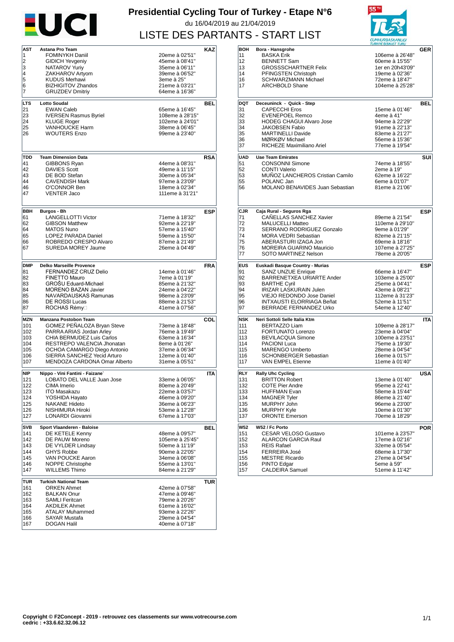

#### **Presidential Cycling Tour of Turkey - Etape N°6** du 16/04/2019 au 21/04/2019 LISTE DES PARTANTS - START LIST

| 1<br><b>FOMINYKH Daniil</b><br>2<br><b>GIDICH Yevgeniy</b><br>3<br>NATAROV Yuriy<br>4<br>ZAKHAROV Artyom<br>5<br><b>KUDUS Merhawi</b><br><b>BIZHIGITOV Zhandos</b><br>6<br>7<br><b>GRUZDEV Dmitriy</b><br>LTS<br><b>Lotto Soudal</b><br>21<br><b>EWAN Caleb</b><br>23<br><b>IVERSEN Rasmus Byriel</b><br>24<br><b>KLUGE Roger</b><br>25<br><b>VANHOUCKE Harm</b><br>26<br><b>WOUTERS Enzo</b><br><b>TDD</b><br><b>Team Dimension Data</b><br>41<br>GIBBONS Ryan<br>42<br><b>DAVIES Scott</b><br>43<br>DE BOD Stefan<br><b>CAVENDISH Mark</b><br>44<br>46<br>O'CONNOR Ben<br>47<br><b>VENTER Jaco</b><br><b>BBH</b><br>Burgos - Bh<br>61<br>LANGELLOTTI Victor<br>62<br><b>GIBSON Matthew</b><br><b>MATOS Nuno</b><br>64<br>65<br>LOPEZ PARADA Daniel<br>66<br>ROBREDO CRESPO Alvaro<br>SUREDA MOREY Jaume<br>67<br>DMP<br><b>Delko Marseille Provence</b><br>FERNANDEZ CRUZ Delio<br>81<br><b>FINETTO Mauro</b><br>82<br><b>GROSU Eduard-Michael</b><br>83<br><b>MORENO BAZAN Javier</b><br>84<br>NAVARDAUSKAS Ramunas<br>85<br><b>DE ROSSI Lucas</b><br>86<br>87<br>ROCHAS Rémy⊟<br>MZN<br>Manzana Postobon Team<br>GOMEZ PENALOZA Bryan Steve<br>101<br>PARRA ARIAS Jordan Arley<br>102<br>103<br>CHIA BERMUDEZ Luis Carlos<br>104<br>RESTREPO VALENCIA Jhonatan<br>OCHOA CAMARGO Diego Antonio<br>105<br>SIERRA SANCHEZ Yecid Arturo<br>106<br>MENDOZA CARDONA Omar Alberto<br>107<br><b>NIP</b><br>Nippo - Vini Fantini - Faizane`<br>LOBATO DEL VALLE Juan Jose<br>121<br>122<br>CIMA Imerio<br>123<br><b>ITO Masakazu</b><br>124<br>YOSHIDA Hayato<br><b>NAKANE Hideto</b><br>125<br>NISHIMURA Hiroki<br>126<br>127<br>LONARDI Giovanni<br>SVB<br>Sport Vlaanderen - Baloise<br>DE KETELE Kenny<br>141<br>142<br>DE PAUW Moreno<br>143<br>DE VYLDER Lindsay<br><b>GHYS Robbe</b><br>144<br>145<br>VAN POUCKE Aaron<br>NOPPE Christophe<br>146<br><b>WILLEMS Thimo</b><br>147<br><b>Turkish National Team</b><br>TUR<br><b>ORKEN Ahmet</b><br>161<br><b>BALKAN Onur</b><br>162<br>163<br><b>SAMLI Feritcan</b><br><b>AKDILEK Ahmet</b><br>164<br>165<br><b>ATALAY Muhammed</b> | 20eme à 02'51"<br>45eme à 08'41"<br>35eme à 06'11"<br>39eme à 06'52"<br>3eme à 25"<br>21eme à 03'21"<br>64eme à 16'36"<br>65eme à 16'45"<br>108eme à 28'15"<br>102eme à 24'01" | BEL        |
|-------------------------------------------------------------------------------------------------------------------------------------------------------------------------------------------------------------------------------------------------------------------------------------------------------------------------------------------------------------------------------------------------------------------------------------------------------------------------------------------------------------------------------------------------------------------------------------------------------------------------------------------------------------------------------------------------------------------------------------------------------------------------------------------------------------------------------------------------------------------------------------------------------------------------------------------------------------------------------------------------------------------------------------------------------------------------------------------------------------------------------------------------------------------------------------------------------------------------------------------------------------------------------------------------------------------------------------------------------------------------------------------------------------------------------------------------------------------------------------------------------------------------------------------------------------------------------------------------------------------------------------------------------------------------------------------------------------------------------------------------------------------------------------------------------------------------------------------------------------------------------------------------------------------------------------------------------------------------------------------------------------------------------------------------------------------------------------|--------------------------------------------------------------------------------------------------------------------------------------------------------------------------------|------------|
|                                                                                                                                                                                                                                                                                                                                                                                                                                                                                                                                                                                                                                                                                                                                                                                                                                                                                                                                                                                                                                                                                                                                                                                                                                                                                                                                                                                                                                                                                                                                                                                                                                                                                                                                                                                                                                                                                                                                                                                                                                                                                     |                                                                                                                                                                                |            |
|                                                                                                                                                                                                                                                                                                                                                                                                                                                                                                                                                                                                                                                                                                                                                                                                                                                                                                                                                                                                                                                                                                                                                                                                                                                                                                                                                                                                                                                                                                                                                                                                                                                                                                                                                                                                                                                                                                                                                                                                                                                                                     |                                                                                                                                                                                |            |
|                                                                                                                                                                                                                                                                                                                                                                                                                                                                                                                                                                                                                                                                                                                                                                                                                                                                                                                                                                                                                                                                                                                                                                                                                                                                                                                                                                                                                                                                                                                                                                                                                                                                                                                                                                                                                                                                                                                                                                                                                                                                                     |                                                                                                                                                                                |            |
|                                                                                                                                                                                                                                                                                                                                                                                                                                                                                                                                                                                                                                                                                                                                                                                                                                                                                                                                                                                                                                                                                                                                                                                                                                                                                                                                                                                                                                                                                                                                                                                                                                                                                                                                                                                                                                                                                                                                                                                                                                                                                     |                                                                                                                                                                                |            |
|                                                                                                                                                                                                                                                                                                                                                                                                                                                                                                                                                                                                                                                                                                                                                                                                                                                                                                                                                                                                                                                                                                                                                                                                                                                                                                                                                                                                                                                                                                                                                                                                                                                                                                                                                                                                                                                                                                                                                                                                                                                                                     |                                                                                                                                                                                |            |
|                                                                                                                                                                                                                                                                                                                                                                                                                                                                                                                                                                                                                                                                                                                                                                                                                                                                                                                                                                                                                                                                                                                                                                                                                                                                                                                                                                                                                                                                                                                                                                                                                                                                                                                                                                                                                                                                                                                                                                                                                                                                                     |                                                                                                                                                                                |            |
|                                                                                                                                                                                                                                                                                                                                                                                                                                                                                                                                                                                                                                                                                                                                                                                                                                                                                                                                                                                                                                                                                                                                                                                                                                                                                                                                                                                                                                                                                                                                                                                                                                                                                                                                                                                                                                                                                                                                                                                                                                                                                     |                                                                                                                                                                                |            |
|                                                                                                                                                                                                                                                                                                                                                                                                                                                                                                                                                                                                                                                                                                                                                                                                                                                                                                                                                                                                                                                                                                                                                                                                                                                                                                                                                                                                                                                                                                                                                                                                                                                                                                                                                                                                                                                                                                                                                                                                                                                                                     |                                                                                                                                                                                |            |
|                                                                                                                                                                                                                                                                                                                                                                                                                                                                                                                                                                                                                                                                                                                                                                                                                                                                                                                                                                                                                                                                                                                                                                                                                                                                                                                                                                                                                                                                                                                                                                                                                                                                                                                                                                                                                                                                                                                                                                                                                                                                                     |                                                                                                                                                                                |            |
|                                                                                                                                                                                                                                                                                                                                                                                                                                                                                                                                                                                                                                                                                                                                                                                                                                                                                                                                                                                                                                                                                                                                                                                                                                                                                                                                                                                                                                                                                                                                                                                                                                                                                                                                                                                                                                                                                                                                                                                                                                                                                     |                                                                                                                                                                                |            |
|                                                                                                                                                                                                                                                                                                                                                                                                                                                                                                                                                                                                                                                                                                                                                                                                                                                                                                                                                                                                                                                                                                                                                                                                                                                                                                                                                                                                                                                                                                                                                                                                                                                                                                                                                                                                                                                                                                                                                                                                                                                                                     |                                                                                                                                                                                |            |
|                                                                                                                                                                                                                                                                                                                                                                                                                                                                                                                                                                                                                                                                                                                                                                                                                                                                                                                                                                                                                                                                                                                                                                                                                                                                                                                                                                                                                                                                                                                                                                                                                                                                                                                                                                                                                                                                                                                                                                                                                                                                                     | 38eme à 06'45"                                                                                                                                                                 |            |
|                                                                                                                                                                                                                                                                                                                                                                                                                                                                                                                                                                                                                                                                                                                                                                                                                                                                                                                                                                                                                                                                                                                                                                                                                                                                                                                                                                                                                                                                                                                                                                                                                                                                                                                                                                                                                                                                                                                                                                                                                                                                                     | 99eme à 23'40"                                                                                                                                                                 |            |
|                                                                                                                                                                                                                                                                                                                                                                                                                                                                                                                                                                                                                                                                                                                                                                                                                                                                                                                                                                                                                                                                                                                                                                                                                                                                                                                                                                                                                                                                                                                                                                                                                                                                                                                                                                                                                                                                                                                                                                                                                                                                                     |                                                                                                                                                                                |            |
|                                                                                                                                                                                                                                                                                                                                                                                                                                                                                                                                                                                                                                                                                                                                                                                                                                                                                                                                                                                                                                                                                                                                                                                                                                                                                                                                                                                                                                                                                                                                                                                                                                                                                                                                                                                                                                                                                                                                                                                                                                                                                     |                                                                                                                                                                                |            |
|                                                                                                                                                                                                                                                                                                                                                                                                                                                                                                                                                                                                                                                                                                                                                                                                                                                                                                                                                                                                                                                                                                                                                                                                                                                                                                                                                                                                                                                                                                                                                                                                                                                                                                                                                                                                                                                                                                                                                                                                                                                                                     |                                                                                                                                                                                | RSA        |
|                                                                                                                                                                                                                                                                                                                                                                                                                                                                                                                                                                                                                                                                                                                                                                                                                                                                                                                                                                                                                                                                                                                                                                                                                                                                                                                                                                                                                                                                                                                                                                                                                                                                                                                                                                                                                                                                                                                                                                                                                                                                                     | 44eme à 08'31"                                                                                                                                                                 |            |
|                                                                                                                                                                                                                                                                                                                                                                                                                                                                                                                                                                                                                                                                                                                                                                                                                                                                                                                                                                                                                                                                                                                                                                                                                                                                                                                                                                                                                                                                                                                                                                                                                                                                                                                                                                                                                                                                                                                                                                                                                                                                                     | 49eme à 11'15"                                                                                                                                                                 |            |
|                                                                                                                                                                                                                                                                                                                                                                                                                                                                                                                                                                                                                                                                                                                                                                                                                                                                                                                                                                                                                                                                                                                                                                                                                                                                                                                                                                                                                                                                                                                                                                                                                                                                                                                                                                                                                                                                                                                                                                                                                                                                                     | 30eme à 05'34"                                                                                                                                                                 |            |
|                                                                                                                                                                                                                                                                                                                                                                                                                                                                                                                                                                                                                                                                                                                                                                                                                                                                                                                                                                                                                                                                                                                                                                                                                                                                                                                                                                                                                                                                                                                                                                                                                                                                                                                                                                                                                                                                                                                                                                                                                                                                                     | 97eme à 23'09"                                                                                                                                                                 |            |
|                                                                                                                                                                                                                                                                                                                                                                                                                                                                                                                                                                                                                                                                                                                                                                                                                                                                                                                                                                                                                                                                                                                                                                                                                                                                                                                                                                                                                                                                                                                                                                                                                                                                                                                                                                                                                                                                                                                                                                                                                                                                                     | 18eme à 02'34"                                                                                                                                                                 |            |
|                                                                                                                                                                                                                                                                                                                                                                                                                                                                                                                                                                                                                                                                                                                                                                                                                                                                                                                                                                                                                                                                                                                                                                                                                                                                                                                                                                                                                                                                                                                                                                                                                                                                                                                                                                                                                                                                                                                                                                                                                                                                                     | 111eme à 31'21"                                                                                                                                                                |            |
|                                                                                                                                                                                                                                                                                                                                                                                                                                                                                                                                                                                                                                                                                                                                                                                                                                                                                                                                                                                                                                                                                                                                                                                                                                                                                                                                                                                                                                                                                                                                                                                                                                                                                                                                                                                                                                                                                                                                                                                                                                                                                     |                                                                                                                                                                                |            |
|                                                                                                                                                                                                                                                                                                                                                                                                                                                                                                                                                                                                                                                                                                                                                                                                                                                                                                                                                                                                                                                                                                                                                                                                                                                                                                                                                                                                                                                                                                                                                                                                                                                                                                                                                                                                                                                                                                                                                                                                                                                                                     |                                                                                                                                                                                | <b>ESP</b> |
|                                                                                                                                                                                                                                                                                                                                                                                                                                                                                                                                                                                                                                                                                                                                                                                                                                                                                                                                                                                                                                                                                                                                                                                                                                                                                                                                                                                                                                                                                                                                                                                                                                                                                                                                                                                                                                                                                                                                                                                                                                                                                     | 71eme à 18'32"                                                                                                                                                                 |            |
|                                                                                                                                                                                                                                                                                                                                                                                                                                                                                                                                                                                                                                                                                                                                                                                                                                                                                                                                                                                                                                                                                                                                                                                                                                                                                                                                                                                                                                                                                                                                                                                                                                                                                                                                                                                                                                                                                                                                                                                                                                                                                     | 92eme à 22'19"                                                                                                                                                                 |            |
|                                                                                                                                                                                                                                                                                                                                                                                                                                                                                                                                                                                                                                                                                                                                                                                                                                                                                                                                                                                                                                                                                                                                                                                                                                                                                                                                                                                                                                                                                                                                                                                                                                                                                                                                                                                                                                                                                                                                                                                                                                                                                     | 57eme à 15'40"                                                                                                                                                                 |            |
|                                                                                                                                                                                                                                                                                                                                                                                                                                                                                                                                                                                                                                                                                                                                                                                                                                                                                                                                                                                                                                                                                                                                                                                                                                                                                                                                                                                                                                                                                                                                                                                                                                                                                                                                                                                                                                                                                                                                                                                                                                                                                     | 59eme à 15'50"                                                                                                                                                                 |            |
|                                                                                                                                                                                                                                                                                                                                                                                                                                                                                                                                                                                                                                                                                                                                                                                                                                                                                                                                                                                                                                                                                                                                                                                                                                                                                                                                                                                                                                                                                                                                                                                                                                                                                                                                                                                                                                                                                                                                                                                                                                                                                     | 87eme à 21'49"                                                                                                                                                                 |            |
|                                                                                                                                                                                                                                                                                                                                                                                                                                                                                                                                                                                                                                                                                                                                                                                                                                                                                                                                                                                                                                                                                                                                                                                                                                                                                                                                                                                                                                                                                                                                                                                                                                                                                                                                                                                                                                                                                                                                                                                                                                                                                     | 26eme à 04'49"                                                                                                                                                                 |            |
|                                                                                                                                                                                                                                                                                                                                                                                                                                                                                                                                                                                                                                                                                                                                                                                                                                                                                                                                                                                                                                                                                                                                                                                                                                                                                                                                                                                                                                                                                                                                                                                                                                                                                                                                                                                                                                                                                                                                                                                                                                                                                     |                                                                                                                                                                                |            |
|                                                                                                                                                                                                                                                                                                                                                                                                                                                                                                                                                                                                                                                                                                                                                                                                                                                                                                                                                                                                                                                                                                                                                                                                                                                                                                                                                                                                                                                                                                                                                                                                                                                                                                                                                                                                                                                                                                                                                                                                                                                                                     |                                                                                                                                                                                |            |
|                                                                                                                                                                                                                                                                                                                                                                                                                                                                                                                                                                                                                                                                                                                                                                                                                                                                                                                                                                                                                                                                                                                                                                                                                                                                                                                                                                                                                                                                                                                                                                                                                                                                                                                                                                                                                                                                                                                                                                                                                                                                                     |                                                                                                                                                                                | FRA        |
|                                                                                                                                                                                                                                                                                                                                                                                                                                                                                                                                                                                                                                                                                                                                                                                                                                                                                                                                                                                                                                                                                                                                                                                                                                                                                                                                                                                                                                                                                                                                                                                                                                                                                                                                                                                                                                                                                                                                                                                                                                                                                     | 14eme à 01'46"                                                                                                                                                                 |            |
|                                                                                                                                                                                                                                                                                                                                                                                                                                                                                                                                                                                                                                                                                                                                                                                                                                                                                                                                                                                                                                                                                                                                                                                                                                                                                                                                                                                                                                                                                                                                                                                                                                                                                                                                                                                                                                                                                                                                                                                                                                                                                     | 7eme à 01'19"                                                                                                                                                                  |            |
|                                                                                                                                                                                                                                                                                                                                                                                                                                                                                                                                                                                                                                                                                                                                                                                                                                                                                                                                                                                                                                                                                                                                                                                                                                                                                                                                                                                                                                                                                                                                                                                                                                                                                                                                                                                                                                                                                                                                                                                                                                                                                     | 85eme à 21'32"                                                                                                                                                                 |            |
|                                                                                                                                                                                                                                                                                                                                                                                                                                                                                                                                                                                                                                                                                                                                                                                                                                                                                                                                                                                                                                                                                                                                                                                                                                                                                                                                                                                                                                                                                                                                                                                                                                                                                                                                                                                                                                                                                                                                                                                                                                                                                     | 24eme à 04'22"<br>98eme à 23'09"                                                                                                                                               |            |
|                                                                                                                                                                                                                                                                                                                                                                                                                                                                                                                                                                                                                                                                                                                                                                                                                                                                                                                                                                                                                                                                                                                                                                                                                                                                                                                                                                                                                                                                                                                                                                                                                                                                                                                                                                                                                                                                                                                                                                                                                                                                                     | 88eme à 21'53"                                                                                                                                                                 |            |
|                                                                                                                                                                                                                                                                                                                                                                                                                                                                                                                                                                                                                                                                                                                                                                                                                                                                                                                                                                                                                                                                                                                                                                                                                                                                                                                                                                                                                                                                                                                                                                                                                                                                                                                                                                                                                                                                                                                                                                                                                                                                                     | 41eme à 07'56"                                                                                                                                                                 |            |
|                                                                                                                                                                                                                                                                                                                                                                                                                                                                                                                                                                                                                                                                                                                                                                                                                                                                                                                                                                                                                                                                                                                                                                                                                                                                                                                                                                                                                                                                                                                                                                                                                                                                                                                                                                                                                                                                                                                                                                                                                                                                                     |                                                                                                                                                                                |            |
|                                                                                                                                                                                                                                                                                                                                                                                                                                                                                                                                                                                                                                                                                                                                                                                                                                                                                                                                                                                                                                                                                                                                                                                                                                                                                                                                                                                                                                                                                                                                                                                                                                                                                                                                                                                                                                                                                                                                                                                                                                                                                     |                                                                                                                                                                                | COL        |
|                                                                                                                                                                                                                                                                                                                                                                                                                                                                                                                                                                                                                                                                                                                                                                                                                                                                                                                                                                                                                                                                                                                                                                                                                                                                                                                                                                                                                                                                                                                                                                                                                                                                                                                                                                                                                                                                                                                                                                                                                                                                                     | 73eme à 18'48"                                                                                                                                                                 |            |
|                                                                                                                                                                                                                                                                                                                                                                                                                                                                                                                                                                                                                                                                                                                                                                                                                                                                                                                                                                                                                                                                                                                                                                                                                                                                                                                                                                                                                                                                                                                                                                                                                                                                                                                                                                                                                                                                                                                                                                                                                                                                                     | 76eme à 19'49"                                                                                                                                                                 |            |
|                                                                                                                                                                                                                                                                                                                                                                                                                                                                                                                                                                                                                                                                                                                                                                                                                                                                                                                                                                                                                                                                                                                                                                                                                                                                                                                                                                                                                                                                                                                                                                                                                                                                                                                                                                                                                                                                                                                                                                                                                                                                                     | 63eme à 16'34"                                                                                                                                                                 |            |
|                                                                                                                                                                                                                                                                                                                                                                                                                                                                                                                                                                                                                                                                                                                                                                                                                                                                                                                                                                                                                                                                                                                                                                                                                                                                                                                                                                                                                                                                                                                                                                                                                                                                                                                                                                                                                                                                                                                                                                                                                                                                                     | 8eme à 01'26"                                                                                                                                                                  |            |
|                                                                                                                                                                                                                                                                                                                                                                                                                                                                                                                                                                                                                                                                                                                                                                                                                                                                                                                                                                                                                                                                                                                                                                                                                                                                                                                                                                                                                                                                                                                                                                                                                                                                                                                                                                                                                                                                                                                                                                                                                                                                                     | 37eme à 06'34"                                                                                                                                                                 |            |
|                                                                                                                                                                                                                                                                                                                                                                                                                                                                                                                                                                                                                                                                                                                                                                                                                                                                                                                                                                                                                                                                                                                                                                                                                                                                                                                                                                                                                                                                                                                                                                                                                                                                                                                                                                                                                                                                                                                                                                                                                                                                                     | 12eme à 01'40"                                                                                                                                                                 |            |
|                                                                                                                                                                                                                                                                                                                                                                                                                                                                                                                                                                                                                                                                                                                                                                                                                                                                                                                                                                                                                                                                                                                                                                                                                                                                                                                                                                                                                                                                                                                                                                                                                                                                                                                                                                                                                                                                                                                                                                                                                                                                                     | 31eme à 05'51"                                                                                                                                                                 |            |
|                                                                                                                                                                                                                                                                                                                                                                                                                                                                                                                                                                                                                                                                                                                                                                                                                                                                                                                                                                                                                                                                                                                                                                                                                                                                                                                                                                                                                                                                                                                                                                                                                                                                                                                                                                                                                                                                                                                                                                                                                                                                                     |                                                                                                                                                                                | <b>ITA</b> |
|                                                                                                                                                                                                                                                                                                                                                                                                                                                                                                                                                                                                                                                                                                                                                                                                                                                                                                                                                                                                                                                                                                                                                                                                                                                                                                                                                                                                                                                                                                                                                                                                                                                                                                                                                                                                                                                                                                                                                                                                                                                                                     | 33eme à 06'05"                                                                                                                                                                 |            |
|                                                                                                                                                                                                                                                                                                                                                                                                                                                                                                                                                                                                                                                                                                                                                                                                                                                                                                                                                                                                                                                                                                                                                                                                                                                                                                                                                                                                                                                                                                                                                                                                                                                                                                                                                                                                                                                                                                                                                                                                                                                                                     | 80eme à 20'49"                                                                                                                                                                 |            |
|                                                                                                                                                                                                                                                                                                                                                                                                                                                                                                                                                                                                                                                                                                                                                                                                                                                                                                                                                                                                                                                                                                                                                                                                                                                                                                                                                                                                                                                                                                                                                                                                                                                                                                                                                                                                                                                                                                                                                                                                                                                                                     | 22eme à 03'57"                                                                                                                                                                 |            |
|                                                                                                                                                                                                                                                                                                                                                                                                                                                                                                                                                                                                                                                                                                                                                                                                                                                                                                                                                                                                                                                                                                                                                                                                                                                                                                                                                                                                                                                                                                                                                                                                                                                                                                                                                                                                                                                                                                                                                                                                                                                                                     | 46eme à 09'20"                                                                                                                                                                 |            |
|                                                                                                                                                                                                                                                                                                                                                                                                                                                                                                                                                                                                                                                                                                                                                                                                                                                                                                                                                                                                                                                                                                                                                                                                                                                                                                                                                                                                                                                                                                                                                                                                                                                                                                                                                                                                                                                                                                                                                                                                                                                                                     | 36eme à 06'23"                                                                                                                                                                 |            |
|                                                                                                                                                                                                                                                                                                                                                                                                                                                                                                                                                                                                                                                                                                                                                                                                                                                                                                                                                                                                                                                                                                                                                                                                                                                                                                                                                                                                                                                                                                                                                                                                                                                                                                                                                                                                                                                                                                                                                                                                                                                                                     | 53eme à 12'28"                                                                                                                                                                 |            |
|                                                                                                                                                                                                                                                                                                                                                                                                                                                                                                                                                                                                                                                                                                                                                                                                                                                                                                                                                                                                                                                                                                                                                                                                                                                                                                                                                                                                                                                                                                                                                                                                                                                                                                                                                                                                                                                                                                                                                                                                                                                                                     | 67eme à 17'03"                                                                                                                                                                 |            |
|                                                                                                                                                                                                                                                                                                                                                                                                                                                                                                                                                                                                                                                                                                                                                                                                                                                                                                                                                                                                                                                                                                                                                                                                                                                                                                                                                                                                                                                                                                                                                                                                                                                                                                                                                                                                                                                                                                                                                                                                                                                                                     |                                                                                                                                                                                |            |
|                                                                                                                                                                                                                                                                                                                                                                                                                                                                                                                                                                                                                                                                                                                                                                                                                                                                                                                                                                                                                                                                                                                                                                                                                                                                                                                                                                                                                                                                                                                                                                                                                                                                                                                                                                                                                                                                                                                                                                                                                                                                                     |                                                                                                                                                                                | BEL        |
|                                                                                                                                                                                                                                                                                                                                                                                                                                                                                                                                                                                                                                                                                                                                                                                                                                                                                                                                                                                                                                                                                                                                                                                                                                                                                                                                                                                                                                                                                                                                                                                                                                                                                                                                                                                                                                                                                                                                                                                                                                                                                     | 48eme à 09'57"<br>105eme à 25'45"                                                                                                                                              |            |
|                                                                                                                                                                                                                                                                                                                                                                                                                                                                                                                                                                                                                                                                                                                                                                                                                                                                                                                                                                                                                                                                                                                                                                                                                                                                                                                                                                                                                                                                                                                                                                                                                                                                                                                                                                                                                                                                                                                                                                                                                                                                                     | 50eme à 11'19"                                                                                                                                                                 |            |
|                                                                                                                                                                                                                                                                                                                                                                                                                                                                                                                                                                                                                                                                                                                                                                                                                                                                                                                                                                                                                                                                                                                                                                                                                                                                                                                                                                                                                                                                                                                                                                                                                                                                                                                                                                                                                                                                                                                                                                                                                                                                                     | 90eme à 22'05"                                                                                                                                                                 |            |
|                                                                                                                                                                                                                                                                                                                                                                                                                                                                                                                                                                                                                                                                                                                                                                                                                                                                                                                                                                                                                                                                                                                                                                                                                                                                                                                                                                                                                                                                                                                                                                                                                                                                                                                                                                                                                                                                                                                                                                                                                                                                                     | 34eme à 06'08"                                                                                                                                                                 |            |
|                                                                                                                                                                                                                                                                                                                                                                                                                                                                                                                                                                                                                                                                                                                                                                                                                                                                                                                                                                                                                                                                                                                                                                                                                                                                                                                                                                                                                                                                                                                                                                                                                                                                                                                                                                                                                                                                                                                                                                                                                                                                                     | 55eme à 13'01"                                                                                                                                                                 |            |
|                                                                                                                                                                                                                                                                                                                                                                                                                                                                                                                                                                                                                                                                                                                                                                                                                                                                                                                                                                                                                                                                                                                                                                                                                                                                                                                                                                                                                                                                                                                                                                                                                                                                                                                                                                                                                                                                                                                                                                                                                                                                                     | 84eme à 21'29"                                                                                                                                                                 |            |
|                                                                                                                                                                                                                                                                                                                                                                                                                                                                                                                                                                                                                                                                                                                                                                                                                                                                                                                                                                                                                                                                                                                                                                                                                                                                                                                                                                                                                                                                                                                                                                                                                                                                                                                                                                                                                                                                                                                                                                                                                                                                                     |                                                                                                                                                                                |            |
|                                                                                                                                                                                                                                                                                                                                                                                                                                                                                                                                                                                                                                                                                                                                                                                                                                                                                                                                                                                                                                                                                                                                                                                                                                                                                                                                                                                                                                                                                                                                                                                                                                                                                                                                                                                                                                                                                                                                                                                                                                                                                     |                                                                                                                                                                                | TUR        |
|                                                                                                                                                                                                                                                                                                                                                                                                                                                                                                                                                                                                                                                                                                                                                                                                                                                                                                                                                                                                                                                                                                                                                                                                                                                                                                                                                                                                                                                                                                                                                                                                                                                                                                                                                                                                                                                                                                                                                                                                                                                                                     | 42eme à 07'58"                                                                                                                                                                 |            |
|                                                                                                                                                                                                                                                                                                                                                                                                                                                                                                                                                                                                                                                                                                                                                                                                                                                                                                                                                                                                                                                                                                                                                                                                                                                                                                                                                                                                                                                                                                                                                                                                                                                                                                                                                                                                                                                                                                                                                                                                                                                                                     | 47eme à 09'46"                                                                                                                                                                 |            |
|                                                                                                                                                                                                                                                                                                                                                                                                                                                                                                                                                                                                                                                                                                                                                                                                                                                                                                                                                                                                                                                                                                                                                                                                                                                                                                                                                                                                                                                                                                                                                                                                                                                                                                                                                                                                                                                                                                                                                                                                                                                                                     | 79eme à 20'26"                                                                                                                                                                 |            |
|                                                                                                                                                                                                                                                                                                                                                                                                                                                                                                                                                                                                                                                                                                                                                                                                                                                                                                                                                                                                                                                                                                                                                                                                                                                                                                                                                                                                                                                                                                                                                                                                                                                                                                                                                                                                                                                                                                                                                                                                                                                                                     | 61eme à 16'02"                                                                                                                                                                 |            |
|                                                                                                                                                                                                                                                                                                                                                                                                                                                                                                                                                                                                                                                                                                                                                                                                                                                                                                                                                                                                                                                                                                                                                                                                                                                                                                                                                                                                                                                                                                                                                                                                                                                                                                                                                                                                                                                                                                                                                                                                                                                                                     | 93eme à 22'26"                                                                                                                                                                 |            |
| <b>SAYAR Mustafa</b><br>166                                                                                                                                                                                                                                                                                                                                                                                                                                                                                                                                                                                                                                                                                                                                                                                                                                                                                                                                                                                                                                                                                                                                                                                                                                                                                                                                                                                                                                                                                                                                                                                                                                                                                                                                                                                                                                                                                                                                                                                                                                                         | 29eme à 04'54"                                                                                                                                                                 |            |
| 167<br><b>DOGAN Halil</b>                                                                                                                                                                                                                                                                                                                                                                                                                                                                                                                                                                                                                                                                                                                                                                                                                                                                                                                                                                                                                                                                                                                                                                                                                                                                                                                                                                                                                                                                                                                                                                                                                                                                                                                                                                                                                                                                                                                                                                                                                                                           | 40eme à 07'18"                                                                                                                                                                 |            |

|            |                                        | <b>I UNIVE BISIKLE I TURU</b> |            |
|------------|----------------------------------------|-------------------------------|------------|
| BOH        | Bora - Hansgrohe                       |                               | <b>GER</b> |
|            |                                        |                               |            |
| 11         | <b>BASKA Erik</b>                      | 106eme à 26'48"               |            |
|            |                                        |                               |            |
| 12         | <b>BENNETT Sam</b>                     | 60eme à 15'55"                |            |
| 13         | <b>GROSSSCHARTNER Felix</b>            | 1er en 20h43'09"              |            |
|            |                                        |                               |            |
| 14         | PFINGSTEN Christoph                    | 19eme à 02'36"                |            |
| 16         | <b>SCHWARZMANN Michael</b>             | 72eme à 18'47"                |            |
|            |                                        |                               |            |
| 17         | <b>ARCHBOLD Shane</b>                  | 104eme à 25'28"               |            |
|            |                                        |                               |            |
|            |                                        |                               |            |
| DQT        | Deceuninck - Quick - Step              |                               | <b>BEL</b> |
|            |                                        |                               |            |
| 31         | <b>CAPECCHI Eros</b>                   | 15eme à 01'46"                |            |
| 32         | <b>EVENEPOEL Remco</b>                 | 4eme à 41"                    |            |
|            |                                        |                               |            |
| 33         | <b>HODEG CHAGUI Alvaro Jose</b>        | 94eme à 22'29"                |            |
| 34         | <b>JAKOBSEN Fabio</b>                  | 91eme à 22'13"                |            |
|            |                                        | 83eme à 21'27"                |            |
| 35         | <b>MARTINELLI Davide</b>               |                               |            |
| 36         | MØRKØV Michael                         | 56eme à 15'36"                |            |
| 37         | RICHEZE Maximiliano Ariel              | 77eme à 19'54"                |            |
|            |                                        |                               |            |
| <b>UAD</b> | <b>Uae Team Emirates</b>               |                               | SUI        |
|            |                                        |                               |            |
| 51         | <b>CONSONNI Simone</b>                 | 74eme à 18'55"                |            |
| 52         | <b>CONTI Valerio</b>                   | 2eme à 19"                    |            |
|            |                                        |                               |            |
| 53         | MUNOZ LANCHEROS Cristian Camilo        | 62eme à 16'22"                |            |
| 55         | POLANC Jan                             | 6eme à 01'07"                 |            |
|            |                                        |                               |            |
| 56         | <b>MOLANO BENAVIDES Juan Sebastian</b> | 81eme à 21'06"                |            |
|            |                                        |                               |            |
|            |                                        |                               |            |
|            |                                        |                               |            |
| CJR        | Caja Rural - Seguros Rga               |                               | <b>ESP</b> |
| 71         | <b>CANELLAS SANCHEZ Xavier</b>         | 89eme à 21'54"                |            |
|            |                                        |                               |            |
| 72         | <b>MALUCELLI Matteo</b>                | 110eme à 29'10"               |            |
| 73         | SERRANO RODRIGUEZ Gonzalo              | 9eme à 01'29"                 |            |
|            |                                        |                               |            |
| 74         | <b>MORA VEDRI Sebastian</b>            | 82eme à 21'15"                |            |
| 75         | ABERASTURI IZAGA Jon                   | 69eme à 18'16"                |            |
|            |                                        |                               |            |
| 76         | <b>MOREIRA GUARINO Mauricio</b>        | 107eme à 27'25"               |            |
| 77         | SOTO MARTINEZ Nelson                   | 78eme à 20'05"                |            |
|            |                                        |                               |            |
| EUS        | Euskadi Basque Country - Murias        |                               | <b>ESP</b> |
|            |                                        |                               |            |
|            |                                        |                               |            |
| 91         | <b>SANZ UNZUE Enrique</b>              | 66eme à 16'47"                |            |
|            |                                        |                               |            |
| 92         | BARRENETXEA URIARTE Ander              | 103eme à 25'00"               |            |
| 93         | <b>BARTHE Cyril</b>                    | 25eme à 04'41"                |            |
|            |                                        |                               |            |
| 94         | <b>IRIZAR LASKURAIN Julen</b>          | 43eme à 08'21"                |            |
| 95         | VIEJO REDONDO Jose Daniel              | 112eme à 31'23"               |            |
|            |                                        |                               |            |
| 96         | INTXAUSTI ELORRIAGA Beñat              | 52eme à 11'51"                |            |
| 97         | BERRADE FERNANDEZ Urko                 | 54eme à 12'40"                |            |
| <b>NSK</b> | Neri Sottoli Selle Italia Ktm          |                               | <b>ITA</b> |
|            |                                        |                               |            |
| 111        | <b>BERTAZZO Liam</b>                   | 109eme à 28'17"               |            |
| 112        | FORTUNATO Lorenzo                      | 23eme à 04'04"                |            |
|            |                                        |                               |            |
| 113        | <b>BEVILACQUA Simone</b>               | 100eme à 23'51"               |            |
| 114        | <b>PACIONI Luca</b>                    | 75eme à 19'30"                |            |
| 115        | <b>MARENGO Umberto</b>                 | 28eme à 04'54"                |            |
|            |                                        |                               |            |
| 116        | <b>SCHONBERGER Sebastian</b>           | 16eme à 01'57"                |            |
| 117        | <b>VAN EMPEL Etienne</b>               | 11eme à 01'40"                |            |
|            |                                        |                               |            |
| RLY        | <b>Rally Uhc Cycling</b>               |                               | USA        |
| 131        | <b>BRITTON Robert</b>                  | 13eme à 01'40"                |            |
|            |                                        |                               |            |
| 132        | <b>COTE Pier Andre</b>                 | 95eme à 22'41"                |            |
| 133        | <b>HUFFMAN Evan</b>                    | 58eme à 15'44"                |            |
|            |                                        |                               |            |
| 134        | <b>MAGNER Tyler</b>                    | 86eme à 21'40"                |            |
| 135        | MURPHY John                            | 96eme à 23'00"                |            |
|            |                                        |                               |            |
| 136        | <b>MURPHY Kyle</b>                     | 10eme à 01'30"                |            |
| 137        | <b>ORONTE Emerson</b>                  | 70eme à 18'29"                |            |
|            |                                        |                               |            |
| <b>W52</b> | W52 / Fc Porto                         |                               | POR        |
| 151        | CESAR VELOSO Gustavo                   | 101eme à 23'57"               |            |
|            |                                        |                               |            |
| 152        | <b>ALARCON GARCIA Raul</b>             | 17eme à 02'16"                |            |
| 153        | <b>REIS Rafael</b>                     | 32eme à 05'54"                |            |
|            |                                        |                               |            |
| 154        | <b>FERREIRA José</b>                   | 68eme à 17'30"                |            |
| 155        | <b>MESTRE Ricardo</b>                  | 27eme à 04'54"                |            |
|            |                                        |                               |            |
| 156        | PINTO Edgar                            | 5eme à 59"                    |            |
| 157        | <b>CALDEIRA Samuel</b>                 | 51eme à 11'42"                |            |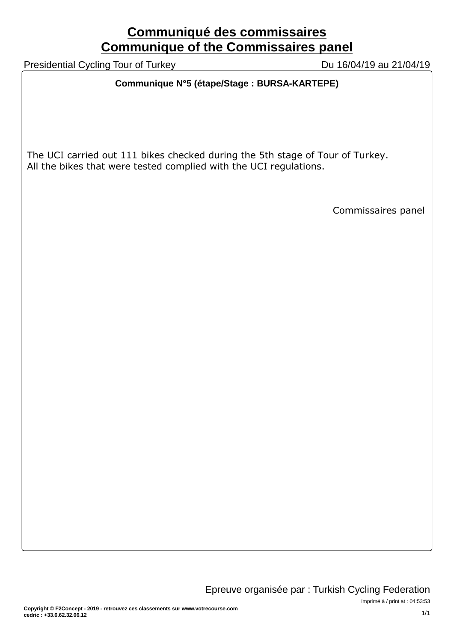## **Communiqué des commissaires Communique of the Commissaires panel**

Presidential Cycling Tour of Turkey Du 16/04/19 au 21/04/19

#### **Communique N°5 (étape/Stage : BURSA-KARTEPE)**

The UCI carried out 111 bikes checked during the 5th stage of Tour of Turkey. All the bikes that were tested complied with the UCI regulations.

Commissaires panel